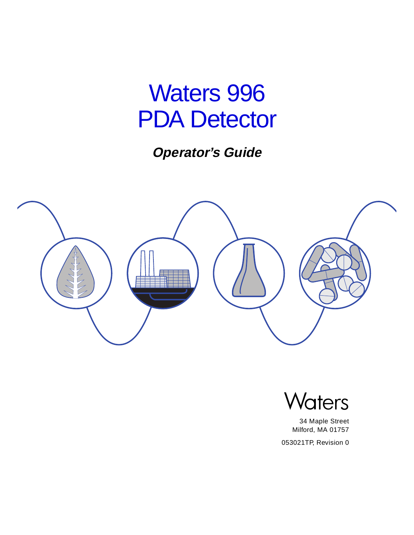# Waters 996 PDA Detector

**Operator's Guide**





34 Maple Street Milford, MA 01757

053021TP, Revision 0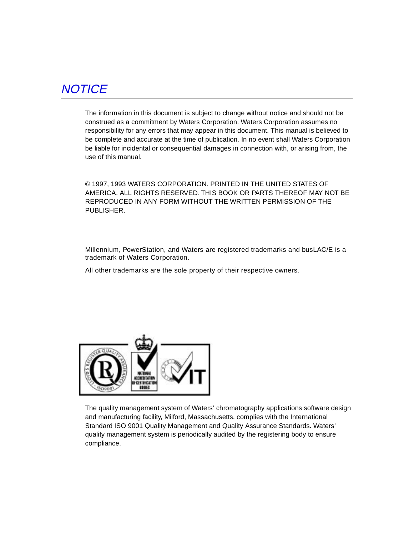# **NOTICE**

The information in this document is subject to change without notice and should not be construed as a commitment by Waters Corporation. Waters Corporation assumes no responsibility for any errors that may appear in this document. This manual is believed to be complete and accurate at the time of publication. In no event shall Waters Corporation be liable for incidental or consequential damages in connection with, or arising from, the use of this manual.

© 1997, 1993 WATERS CORPORATION. PRINTED IN THE UNITED STATES OF AMERICA. ALL RIGHTS RESERVED. THIS BOOK OR PARTS THEREOF MAY NOT BE REPRODUCED IN ANY FORM WITHOUT THE WRITTEN PERMISSION OF THE PUBLISHER.

Millennium, PowerStation, and Waters are registered trademarks and busLAC/E is a trademark of Waters Corporation.

All other trademarks are the sole property of their respective owners.



The quality management system of Waters' chromatography applications software design and manufacturing facility, Milford, Massachusetts, complies with the International Standard ISO 9001 Quality Management and Quality Assurance Standards. Waters' quality management system is periodically audited by the registering body to ensure compliance.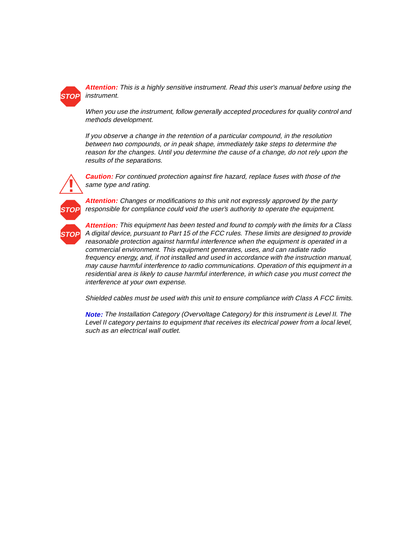

**Attention:** This is a highly sensitive instrument. Read this user's manual before using the instrument.

When you use the instrument, follow generally accepted procedures for quality control and methods development.

If you observe a change in the retention of a particular compound, in the resolution between two compounds, or in peak shape, immediately take steps to determine the reason for the changes. Until you determine the cause of a change, do not rely upon the results of the separations.



**Caution:** For continued protection against fire hazard, replace fuses with those of the same type and rating.



**Attention:** Changes or modifications to this unit not expressly approved by the party responsible for compliance could void the user's authority to operate the equipment.

**Attention:** This equipment has been tested and found to comply with the limits for a Class A digital device, pursuant to Part 15 of the FCC rules. These limits are designed to provide reasonable protection against harmful interference when the equipment is operated in a commercial environment. This equipment generates, uses, and can radiate radio frequency energy, and, if not installed and used in accordance with the instruction manual, may cause harmful interference to radio communications. Operation of this equipment in a residential area is likely to cause harmful interference, in which case you must correct the interference at your own expense.

Shielded cables must be used with this unit to ensure compliance with Class A FCC limits.

**Note:** The Installation Category (Overvoltage Category) for this instrument is Level II. The Level II category pertains to equipment that receives its electrical power from a local level, such as an electrical wall outlet.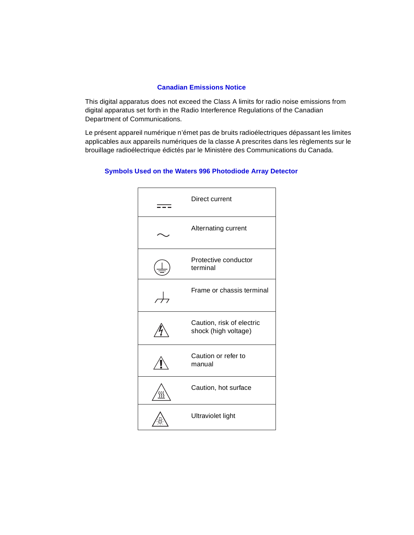#### **Canadian Emissions Notice**

This digital apparatus does not exceed the Class A limits for radio noise emissions from digital apparatus set forth in the Radio Interference Regulations of the Canadian Department of Communications.

Le présent appareil numérique n'émet pas de bruits radioélectriques dépassant les limites applicables aux appareils numériques de la classe A prescrites dans les règlements sur le brouillage radioélectrique édictés par le Ministère des Communications du Canada.



#### **Symbols Used on the Waters 996 Photodiode Array Detector**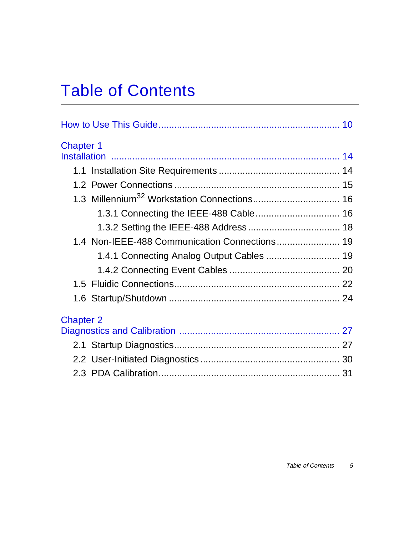# Table of Contents

| <b>Chapter 1</b> |                                               |  |
|------------------|-----------------------------------------------|--|
|                  |                                               |  |
|                  |                                               |  |
|                  |                                               |  |
|                  |                                               |  |
|                  | 1.3.1 Connecting the IEEE-488 Cable 16        |  |
|                  |                                               |  |
|                  | 1.4 Non-IEEE-488 Communication Connections 19 |  |
|                  | 1.4.1 Connecting Analog Output Cables  19     |  |
|                  |                                               |  |
|                  |                                               |  |
|                  |                                               |  |
| <b>Chapter 2</b> |                                               |  |
|                  |                                               |  |
|                  |                                               |  |
|                  |                                               |  |
|                  |                                               |  |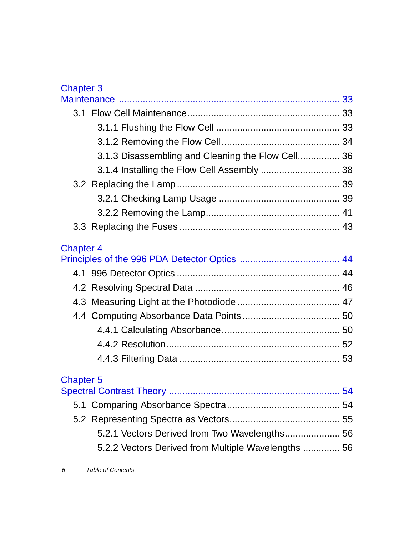# Chapter 3

| 3.1              |                                                     |  |
|------------------|-----------------------------------------------------|--|
|                  |                                                     |  |
|                  |                                                     |  |
|                  | 3.1.3 Disassembling and Cleaning the Flow Cell 36   |  |
|                  |                                                     |  |
|                  |                                                     |  |
|                  |                                                     |  |
|                  |                                                     |  |
|                  |                                                     |  |
| <b>Chapter 4</b> |                                                     |  |
|                  |                                                     |  |
|                  |                                                     |  |
|                  |                                                     |  |
|                  |                                                     |  |
|                  |                                                     |  |
|                  |                                                     |  |
|                  |                                                     |  |
|                  |                                                     |  |
| <b>Chapter 5</b> |                                                     |  |
|                  |                                                     |  |
|                  |                                                     |  |
|                  |                                                     |  |
|                  | 5.2.1 Vectors Derived from Two Wavelengths 56       |  |
|                  | 5.2.2 Vectors Derived from Multiple Wavelengths  56 |  |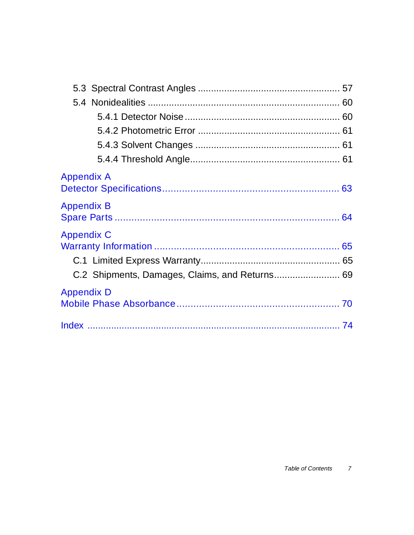| <b>Appendix A</b>                              |  |
|------------------------------------------------|--|
| <b>Appendix B</b>                              |  |
| <b>Appendix C</b>                              |  |
|                                                |  |
| C.2 Shipments, Damages, Claims, and Returns 69 |  |
| <b>Appendix D</b>                              |  |
|                                                |  |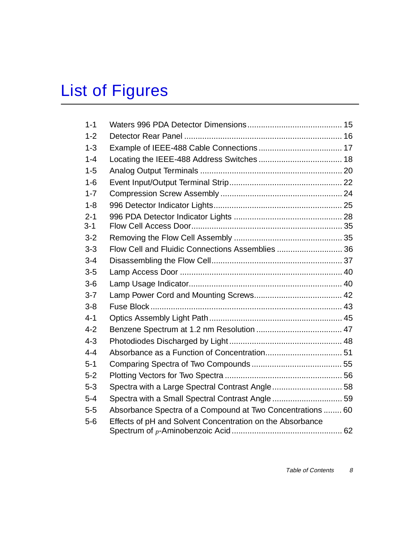# List of Figures

| $1 - 1$ |                                                            |  |
|---------|------------------------------------------------------------|--|
| $1 - 2$ |                                                            |  |
| $1 - 3$ |                                                            |  |
| $1 - 4$ |                                                            |  |
| $1 - 5$ |                                                            |  |
| $1 - 6$ |                                                            |  |
| $1 - 7$ |                                                            |  |
| $1 - 8$ |                                                            |  |
| $2 - 1$ |                                                            |  |
| $3 - 1$ |                                                            |  |
| $3 - 2$ |                                                            |  |
| $3-3$   | Flow Cell and Fluidic Connections Assemblies  36           |  |
| $3 - 4$ |                                                            |  |
| $3-5$   |                                                            |  |
| $3-6$   |                                                            |  |
| $3 - 7$ |                                                            |  |
| $3 - 8$ |                                                            |  |
| $4 - 1$ |                                                            |  |
| $4 - 2$ |                                                            |  |
| $4 - 3$ |                                                            |  |
| $4 - 4$ |                                                            |  |
| $5 - 1$ |                                                            |  |
| $5-2$   |                                                            |  |
| $5 - 3$ |                                                            |  |
| $5 - 4$ |                                                            |  |
| $5-5$   | Absorbance Spectra of a Compound at Two Concentrations  60 |  |
| $5-6$   | Effects of pH and Solvent Concentration on the Absorbance  |  |
|         |                                                            |  |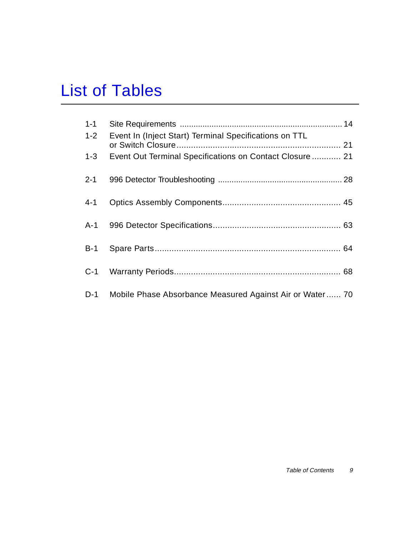# List of Tables

| $1 - 1$ |                                                              |  |
|---------|--------------------------------------------------------------|--|
| $1 - 2$ | Event In (Inject Start) Terminal Specifications on TTL       |  |
| $1-3$   | Event Out Terminal Specifications on Contact Closure 21      |  |
| $2 - 1$ |                                                              |  |
| $4 - 1$ |                                                              |  |
|         |                                                              |  |
| $B-1$   |                                                              |  |
| $C-1$   |                                                              |  |
|         | D-1 Mobile Phase Absorbance Measured Against Air or Water 70 |  |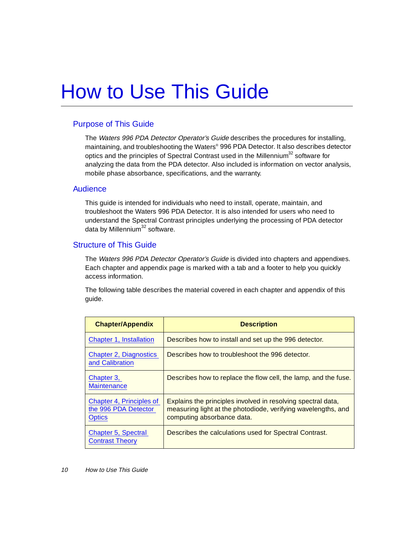# <span id="page-9-0"></span>How to Use This Guide

## Purpose of This Guide

The Waters 996 PDA Detector Operator's Guide describes the procedures for installing, maintaining, and troubleshooting the Waters® 996 PDA Detector. It also describes detector optics and the principles of Spectral Contrast used in the Millennium<sup>32</sup> software for analyzing the data from the PDA detector. Also included is information on vector analysis, mobile phase absorbance, specifications, and the warranty.

### Audience

This guide is intended for individuals who need to install, operate, maintain, and troubleshoot the Waters 996 PDA Detector. It is also intended for users who need to understand the Spectral Contrast principles underlying the processing of PDA detector data by Millennium $32$  software.

## Structure of This Guide

The Waters 996 PDA Detector Operator's Guide is divided into chapters and appendixes. Each chapter and appendix page is marked with a tab and a footer to help you quickly access information.

The following table describes the material covered in each chapter and appendix of this guide.

| <b>Chapter/Appendix</b>                                           | <b>Description</b>                                                                                                                                          |
|-------------------------------------------------------------------|-------------------------------------------------------------------------------------------------------------------------------------------------------------|
| Chapter 1, Installation                                           | Describes how to install and set up the 996 detector.                                                                                                       |
| <b>Chapter 2, Diagnostics</b><br>and Calibration                  | Describes how to troubleshoot the 996 detector.                                                                                                             |
| Chapter 3,<br><b>Maintenance</b>                                  | Describes how to replace the flow cell, the lamp, and the fuse.                                                                                             |
| Chapter 4, Principles of<br>the 996 PDA Detector<br><b>Optics</b> | Explains the principles involved in resolving spectral data,<br>measuring light at the photodiode, verifying wavelengths, and<br>computing absorbance data. |
| <b>Chapter 5, Spectral</b><br><b>Contrast Theory</b>              | Describes the calculations used for Spectral Contrast.                                                                                                      |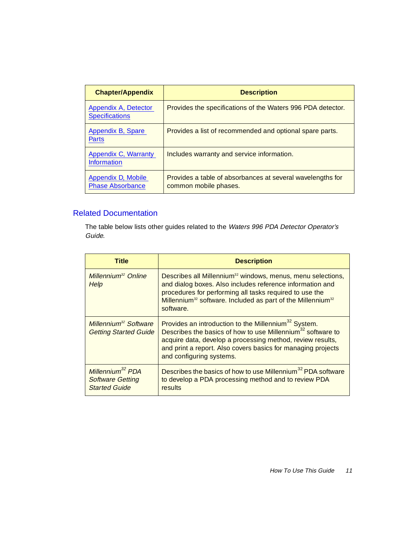| <b>Chapter/Appendix</b>                       | <b>Description</b>                                                                  |
|-----------------------------------------------|-------------------------------------------------------------------------------------|
| Appendix A, Detector<br><b>Specifications</b> | Provides the specifications of the Waters 996 PDA detector.                         |
| Appendix B, Spare<br><b>Parts</b>             | Provides a list of recommended and optional spare parts.                            |
| Appendix C, Warranty<br><b>Information</b>    | Includes warranty and service information.                                          |
| Appendix D, Mobile<br><b>Phase Absorbance</b> | Provides a table of absorbances at several wavelengths for<br>common mobile phases. |

## Related Documentation

The table below lists other guides related to the Waters 996 PDA Detector Operator's Guide.

| Title                                                                           | <b>Description</b>                                                                                                                                                                                                                                                                                    |
|---------------------------------------------------------------------------------|-------------------------------------------------------------------------------------------------------------------------------------------------------------------------------------------------------------------------------------------------------------------------------------------------------|
| Millennium <sup>32</sup> Online<br>Help                                         | Describes all Millennium <sup>32</sup> windows, menus, menu selections,<br>and dialog boxes. Also includes reference information and<br>procedures for performing all tasks required to use the<br>Millennium <sup>32</sup> software. Included as part of the Millennium <sup>32</sup><br>software.   |
| Millennium <sup>32</sup> Software<br><b>Getting Started Guide</b>               | Provides an introduction to the Millennium <sup>32</sup> System.<br>Describes the basics of how to use Millennium <sup>32</sup> software to<br>acquire data, develop a processing method, review results,<br>and print a report. Also covers basics for managing projects<br>and configuring systems. |
| Millennium <sup>32</sup> PDA<br><b>Software Getting</b><br><b>Started Guide</b> | Describes the basics of how to use Millennium <sup>32</sup> PDA software<br>to develop a PDA processing method and to review PDA<br>results                                                                                                                                                           |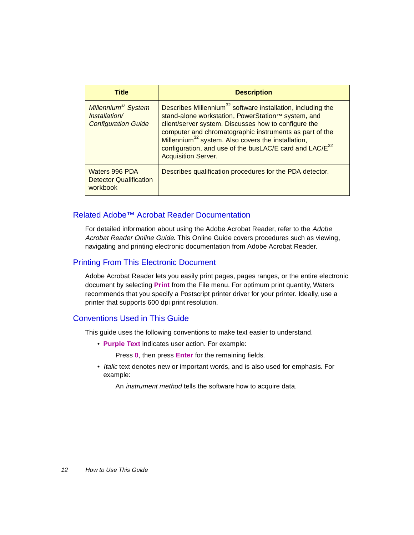| <b>Title</b>                                                                   | <b>Description</b>                                                                                                                                                                                                                                                                                                                                                                                                      |
|--------------------------------------------------------------------------------|-------------------------------------------------------------------------------------------------------------------------------------------------------------------------------------------------------------------------------------------------------------------------------------------------------------------------------------------------------------------------------------------------------------------------|
| Millennium <sup>32</sup> System<br>Installation/<br><b>Configuration Guide</b> | Describes Millennium <sup>32</sup> software installation, including the<br>stand-alone workstation, PowerStation™ system, and<br>client/server system. Discusses how to configure the<br>computer and chromatographic instruments as part of the<br>Millennium <sup>32</sup> system. Also covers the installation,<br>configuration, and use of the busLAC/E card and LAC/E <sup>32</sup><br><b>Acquisition Server.</b> |
| Waters 996 PDA<br><b>Detector Qualification</b><br>workbook                    | Describes qualification procedures for the PDA detector.                                                                                                                                                                                                                                                                                                                                                                |

### Related Adobe™ Acrobat Reader Documentation

For detailed information about using the Adobe Acrobat Reader, refer to the Adobe Acrobat Reader Online Guide. This Online Guide covers procedures such as viewing, navigating and printing electronic documentation from Adobe Acrobat Reader.

## Printing From This Electronic Document

Adobe Acrobat Reader lets you easily print pages, pages ranges, or the entire electronic document by selecting **Print** from the File menu. For optimum print quantity, Waters recommends that you specify a Postscript printer driver for your printer. Ideally, use a printer that supports 600 dpi print resolution.

## Conventions Used in This Guide

This guide uses the following conventions to make text easier to understand.

• **Purple Text** indicates user action. For example:

Press **0**, then press **Enter** for the remaining fields.

• Italic text denotes new or important words, and is also used for emphasis. For example:

An instrument method tells the software how to acquire data.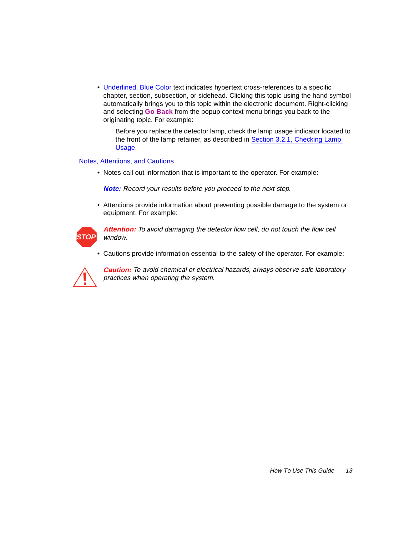• Underlined, Blue Color text indicates hypertext cross-references to a specific chapter, section, subsection, or sidehead. Clicking this topic using the hand symbol automatically brings you to this topic within the electronic document. Right-clicking and selecting **Go Back** from the popup context menu brings you back to the originating topic. For example:

Before you replace the detector lamp, check the lamp usage indicator located to the front of the lamp retainer, as described in **Section 3.2.1**, Checking Lamp [Usage](#page-38-0).

#### Notes, Attentions, and Cautions

• Notes call out information that is important to the operator. For example:

**Note:** Record your results before you proceed to the next step.

• Attentions provide information about preventing possible damage to the system or equipment. For example:



Attention: To avoid damaging the detector flow cell, do not touch the flow cell window.

• Cautions provide information essential to the safety of the operator. For example:



**Caution:** To avoid chemical or electrical hazards, always observe safe laboratory practices when operating the system.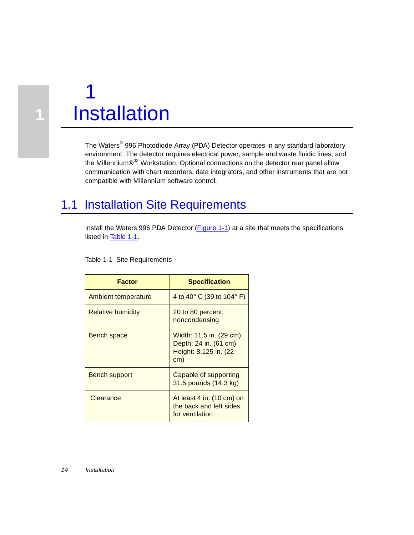<span id="page-13-0"></span>

**1**

The Waters® 996 Photodiode Array (PDA) Detector operates in any standard laboratory environment. The detector requires electrical power, sample and waste fluidic lines, and the Millennium®<sup>32</sup> Workstation. Optional connections on the detector rear panel allow communication with chart recorders, data integrators, and other instruments that are not compatible with Millennium software control.

# 1.1 Installation Site Requirements

Install the Waters 996 PDA Detector [\(Figure 1-1](#page-14-0)) at a site that meets the specifications listed in Table 1-1.

#### Table 1-1 Site Requirements

| <b>Factor</b>            | <b>Specification</b>                                                              |
|--------------------------|-----------------------------------------------------------------------------------|
| Ambient temperature      | 4 to 40° C (39 to 104° F)                                                         |
| <b>Relative humidity</b> | 20 to 80 percent,<br>noncondensing                                                |
| Bench space              | Width: 11.5 in. (29 cm)<br>Depth: 24 in. (61 cm)<br>Height: 8.125 in. (22)<br>cm) |
| <b>Bench support</b>     | Capable of supporting<br>31.5 pounds (14.3 kg)                                    |
| Clearance                | At least 4 in. (10 cm) on<br>the back and left sides<br>for ventilation           |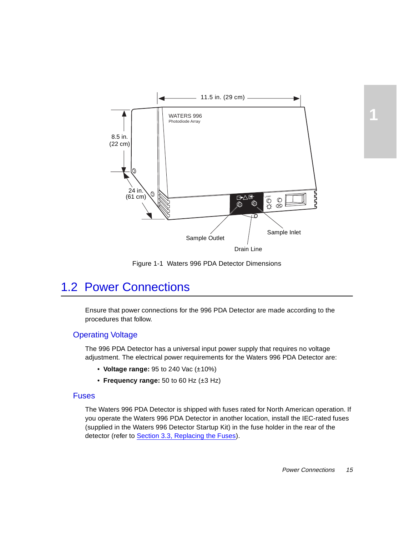<span id="page-14-0"></span>

Figure 1-1 Waters 996 PDA Detector Dimensions

# 1.2 Power Connections

Ensure that power connections for the 996 PDA Detector are made according to the procedures that follow.

## Operating Voltage

The 996 PDA Detector has a universal input power supply that requires no voltage adjustment. The electrical power requirements for the Waters 996 PDA Detector are:

- **Voltage range:** 95 to 240 Vac (±10%)
- **Frequency range:** 50 to 60 Hz (±3 Hz)

#### Fuses

The Waters 996 PDA Detector is shipped with fuses rated for North American operation. If you operate the Waters 996 PDA Detector in another location, install the IEC-rated fuses (supplied in the Waters 996 Detector Startup Kit) in the fuse holder in the rear of the detector (refer to [Section 3.3, Replacing the Fuses](#page-42-0)).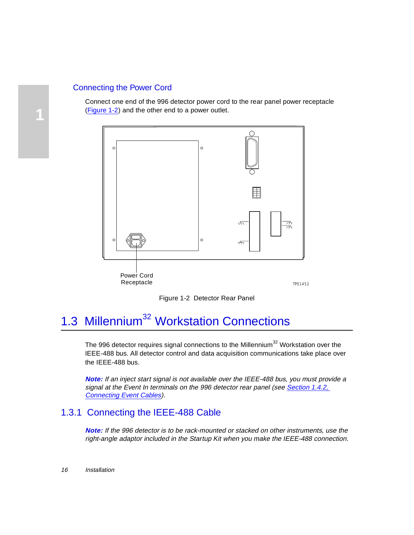## <span id="page-15-0"></span>Connecting the Power Cord

Connect one end of the 996 detector power cord to the rear panel power receptacle (Figure 1-2) and the other end to a power outlet.





# 1.3 Millennium<sup>32</sup> Workstation Connections

The 996 detector requires signal connections to the Millennium<sup>32</sup> Workstation over the IEEE-488 bus. All detector control and data acquisition communications take place over the IEEE-488 bus.

**Note:** If an inject start signal is not available over the IEEE-488 bus, you must provide a signal at the Event In terminals on the 996 detector rear panel (see Section 1.4.2, [Connecting Event Cables](#page-19-0)).

# 1.3.1 Connecting the IEEE-488 Cable

**Note:** If the 996 detector is to be rack-mounted or stacked on other instruments, use the right-angle adaptor included in the Startup Kit when you make the IEEE-488 connection.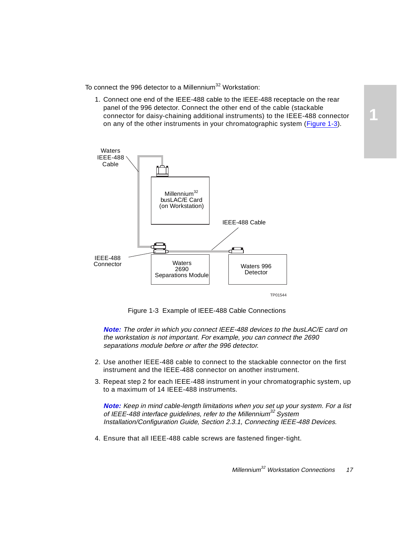<span id="page-16-0"></span>To connect the 996 detector to a Millennium<sup>32</sup> Workstation:

1. Connect one end of the IEEE-488 cable to the IEEE-488 receptacle on the rear panel of the 996 detector. Connect the other end of the cable (stackable connector for daisy-chaining additional instruments) to the IEEE-488 connector on any of the other instruments in your chromatographic system (Figure 1-3).



Figure 1-3 Example of IEEE-488 Cable Connections

**Note:** The order in which you connect IEEE-488 devices to the busLAC/E card on the workstation is not important. For example, you can connect the 2690 separations module before or after the 996 detector.

- 2. Use another IEEE-488 cable to connect to the stackable connector on the first instrument and the IEEE-488 connector on another instrument.
- 3. Repeat step 2 for each IEEE-488 instrument in your chromatographic system, up to a maximum of 14 IEEE-488 instruments.

**Note:** Keep in mind cable-length limitations when you set up your system. For a list of IEEE-488 interface guidelines, refer to the Millennium<sup>32</sup> System Installation/Configuration Guide, Section 2.3.1, Connecting IEEE-488 Devices.

4. Ensure that all IEEE-488 cable screws are fastened finger-tight.

**1**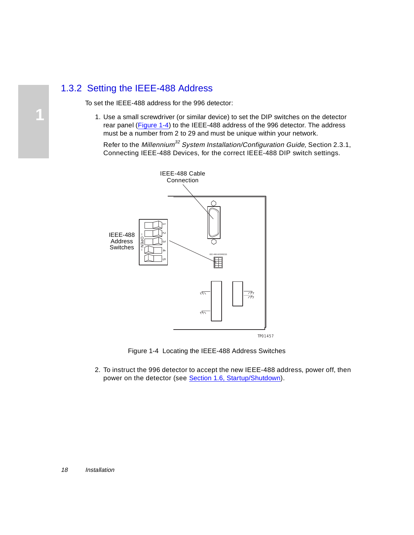# <span id="page-17-0"></span>1.3.2 Setting the IEEE-488 Address

To set the IEEE-488 address for the 996 detector:

1. Use a small screwdriver (or similar device) to set the DIP switches on the detector rear panel (Figure 1-4) to the IEEE-488 address of the 996 detector. The address must be a number from 2 to 29 and must be unique within your network.

Refer to the Millennium<sup>32</sup> System Installation/Configuration Guide, Section 2.3.1, Connecting IEEE-488 Devices, for the correct IEEE-488 DIP switch settings.





2. To instruct the 996 detector to accept the new IEEE-488 address, power off, then power on the detector (see [Section 1.6, Startup/Shutdown](#page-23-0)).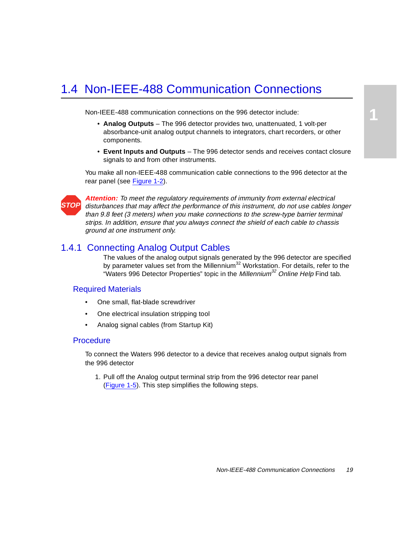# <span id="page-18-0"></span>1.4 Non-IEEE-488 Communication Connections

Non-IEEE-488 communication connections on the 996 detector include:

- **Analog Outputs** The 996 detector provides two, unattenuated, 1 volt-per absorbance-unit analog output channels to integrators, chart recorders, or other components.
- **Event Inputs and Outputs** The 996 detector sends and receives contact closure signals to and from other instruments.

You make all non-IEEE-488 communication cable connections to the 996 detector at the rear panel (see [Figure 1-2](#page-15-0)).



**Attention:** To meet the regulatory requirements of immunity from external electrical disturbances that may affect the performance of this instrument, do not use cables longer than 9.8 feet (3 meters) when you make connections to the screw-type barrier terminal strips. In addition, ensure that you always connect the shield of each cable to chassis ground at one instrument only.

## 1.4.1 Connecting Analog Output Cables

The values of the analog output signals generated by the 996 detector are specified by parameter values set from the Millennium<sup>32</sup> Workstation. For details, refer to the "Waters 996 Detector Properties" topic in the Millennium<sup>32</sup> Online Help Find tab.

### Required Materials

- One small, flat-blade screwdriver
- One electrical insulation stripping tool
- Analog signal cables (from Startup Kit)

#### **Procedure**

To connect the Waters 996 detector to a device that receives analog output signals from the 996 detector

1. Pull off the Analog output terminal strip from the 996 detector rear panel [\(Figure 1-5](#page-19-0)). This step simplifies the following steps.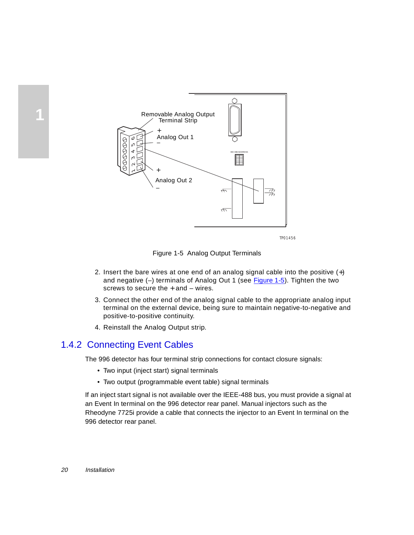

Figure 1-5 Analog Output Terminals

- 2. Insert the bare wires at one end of an analog signal cable into the positive (+) and negative (–) terminals of Analog Out 1 (see Figure 1-5). Tighten the two screws to secure the  $+$  and  $-$  wires.
- 3. Connect the other end of the analog signal cable to the appropriate analog input terminal on the external device, being sure to maintain negative-to-negative and positive-to-positive continuity.
- 4. Reinstall the Analog Output strip.

# 1.4.2 Connecting Event Cables

The 996 detector has four terminal strip connections for contact closure signals:

- Two input (inject start) signal terminals
- Two output (programmable event table) signal terminals

If an inject start signal is not available over the IEEE-488 bus, you must provide a signal at an Event In terminal on the 996 detector rear panel. Manual injectors such as the Rheodyne 7725i provide a cable that connects the injector to an Event In terminal on the

<span id="page-19-0"></span>**1**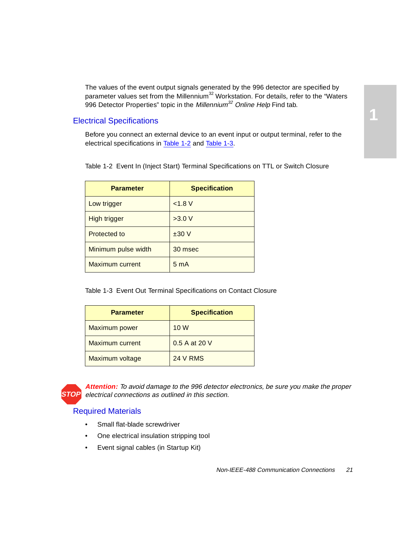<span id="page-20-0"></span>The values of the event output signals generated by the 996 detector are specified by parameter values set from the Millennium<sup>32</sup> Workstation. For details, refer to the "Waters 996 Detector Properties" topic in the Millennium<sup>32</sup> Online Help Find tab.

## Electrical Specifications

Before you connect an external device to an event input or output terminal, refer to the electrical specifications in Table 1-2 and Table 1-3.

Table 1-2 Event In (Inject Start) Terminal Specifications on TTL or Switch Closure

| <b>Parameter</b>    | <b>Specification</b> |
|---------------------|----------------------|
| Low trigger         | < 1.8 V              |
| High trigger        | >3.0 V               |
| Protected to        | ±30V                 |
| Minimum pulse width | 30 msec              |
| Maximum current     | 5 <sub>m</sub> A     |

Table 1-3 Event Out Terminal Specifications on Contact Closure

| <b>Parameter</b>       | <b>Specification</b> |
|------------------------|----------------------|
| Maximum power          | 10 W                 |
| <b>Maximum current</b> | 0.5 A at 20 V        |
| Maximum voltage        | <b>24 V RMS</b>      |



**Attention:** To avoid damage to the 996 detector electronics, be sure you make the proper **STOP** electrical connections as outlined in this section.

## Required Materials

- Small flat-blade screwdriver
- One electrical insulation stripping tool
- Event signal cables (in Startup Kit)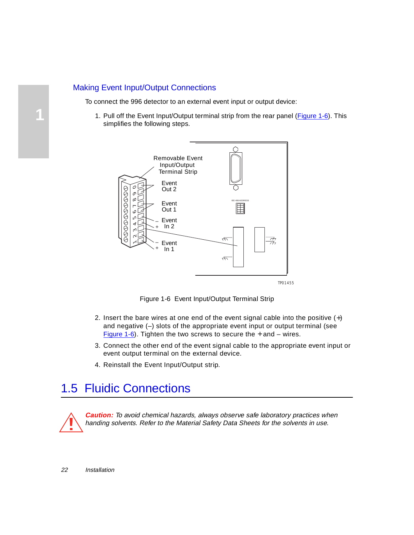## <span id="page-21-0"></span>Making Event Input/Output Connections

To connect the 996 detector to an external event input or output device:

1. Pull off the Event Input/Output terminal strip from the rear panel (Figure 1-6). This simplifies the following steps.



Figure 1-6 Event Input/Output Terminal Strip

- 2. Insert the bare wires at one end of the event signal cable into the positive  $(+)$ and negative (–) slots of the appropriate event input or output terminal (see Figure 1-6). Tighten the two screws to secure the  $+$  and  $-$  wires.
- 3. Connect the other end of the event signal cable to the appropriate event input or event output terminal on the external device.
- 4. Reinstall the Event Input/Output strip.

# 1.5 Fluidic Connections



**Caution:** To avoid chemical hazards, always observe safe laboratory practices when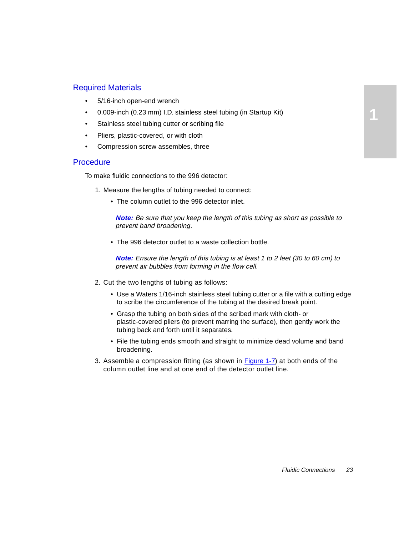## Required Materials

- 5/16-inch open-end wrench
- 0.009-inch (0.23 mm) I.D. stainless steel tubing (in Startup Kit)
- Stainless steel tubing cutter or scribing file
- Pliers, plastic-covered, or with cloth
- Compression screw assembles, three

#### **Procedure**

To make fluidic connections to the 996 detector:

- 1. Measure the lengths of tubing needed to connect:
	- The column outlet to the 996 detector inlet.

**Note:** Be sure that you keep the length of this tubing as short as possible to prevent band broadening.

• The 996 detector outlet to a waste collection bottle.

**Note:** Ensure the length of this tubing is at least 1 to 2 feet (30 to 60 cm) to prevent air bubbles from forming in the flow cell.

- 2. Cut the two lengths of tubing as follows:
	- Use a Waters 1/16-inch stainless steel tubing cutter or a file with a cutting edge to scribe the circumference of the tubing at the desired break point.
	- Grasp the tubing on both sides of the scribed mark with cloth- or plastic-covered pliers (to prevent marring the surface), then gently work the tubing back and forth until it separates.
	- File the tubing ends smooth and straight to minimize dead volume and band broadening.
- 3. Assemble a compression fitting (as shown i[n Figure 1-7](#page-23-0)) at both ends of the column outlet line and at one end of the detector outlet line.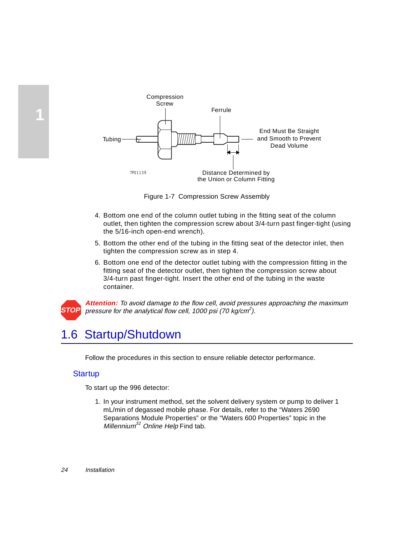

Figure 1-7 Compression Screw Assembly

- 4. Bottom one end of the column outlet tubing in the fitting seat of the column outlet, then tighten the compression screw about 3/4-turn past finger-tight (using the 5/16-inch open-end wrench).
- 5. Bottom the other end of the tubing in the fitting seat of the detector inlet, then tighten the compression screw as in step 4.
- 6. Bottom one end of the detector outlet tubing with the compression fitting in the fitting seat of the detector outlet, then tighten the compression screw about 3/4-turn past finger-tight. Insert the other end of the tubing in the waste container.



<span id="page-23-0"></span>**1**

**Attention:** To avoid damage to the flow cell, avoid pressures approaching the maximum pressure for the analytical flow cell, 1000 psi (70 kg/cm<sup>2</sup>).

# 1.6 Startup/Shutdown

Follow the procedures in this section to ensure reliable detector performance.

## **Startup**

To start up the 996 detector:

1. In your instrument method, set the solvent delivery system or pump to deliver 1 mL/min of degassed mobile phase. For details, refer to the "Waters 2690 Separations Module Properties" or the "Waters 600 Properties" topic in the Millennium<sup>32</sup> Online Help Find tab.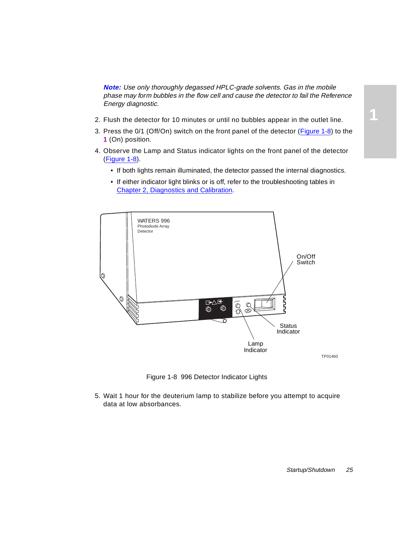<span id="page-24-0"></span>**Note:** Use only thoroughly degassed HPLC-grade solvents. Gas in the mobile phase may form bubbles in the flow cell and cause the detector to fail the Reference Energy diagnostic.

- 2. Flush the detector for 10 minutes or until no bubbles appear in the outlet line.
- 3. Press the 0/1 (Off/On) switch on the front panel of the detector (Figure 1-8) to the **1** (On) position.
- 4. Observe the Lamp and Status indicator lights on the front panel of the detector (Figure 1-8).
	- If both lights remain illuminated, the detector passed the internal diagnostics.
	- If either indicator light blinks or is off, refer to the troubleshooting tables in [Chapter 2, Diagnostics and Calibration](#page-26-0).



TP01460

**1**

Figure 1-8 996 Detector Indicator Lights

5. Wait 1 hour for the deuterium lamp to stabilize before you attempt to acquire data at low absorbances.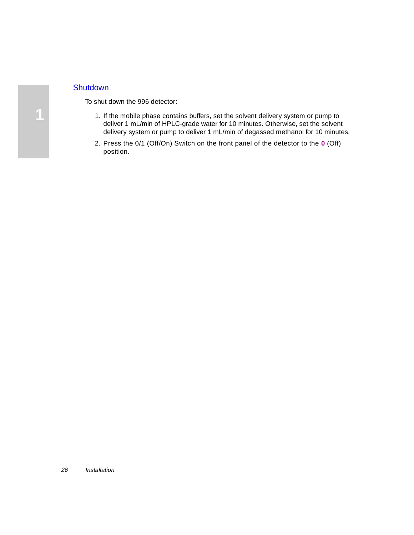## **Shutdown**

To shut down the 996 detector:

- 1. If the mobile phase contains buffers, set the solvent delivery system or pump to deliver 1 mL/min of HPLC-grade water for 10 minutes. Otherwise, set the solvent delivery system or pump to deliver 1 mL/min of degassed methanol for 10 minutes.
- 2. Press the 0/1 (Off/On) Switch on the front panel of the detector to the **0** (Off) position.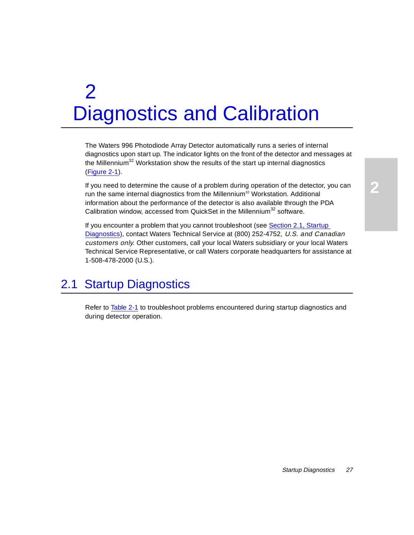# <span id="page-26-0"></span>2 Diagnostics and Calibration

The Waters 996 Photodiode Array Detector automatically runs a series of internal diagnostics upon start up. The indicator lights on the front of the detector and messages at the Millennium<sup>32</sup> Workstation show the results of the start up internal diagnostics [\(Figure 2-1](#page-27-0)).

If you need to determine the cause of a problem during operation of the detector, you can run the same internal diagnostics from the Millennium $32$  Workstation. Additional information about the performance of the detector is also available through the PDA Calibration window, accessed from QuickSet in the Millennium<sup>32</sup> software.

If you encounter a problem that you cannot troubleshoot (see Section 2.1, Startup Diagnostics), contact Waters Technical Service at (800) 252-4752, U.S. and Canadian customers only. Other customers, call your local Waters subsidiary or your local Waters Technical Service Representative, or call Waters corporate headquarters for assistance at 1-508-478-2000 (U.S.).

# 2.1 Startup Diagnostics

Refer to [Table 2-1](#page-27-0) to troubleshoot problems encountered during startup diagnostics and during detector operation.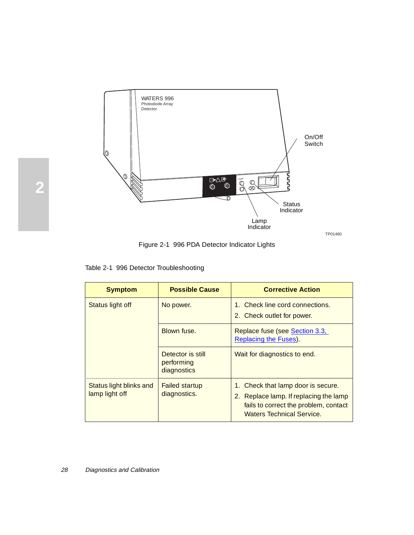<span id="page-27-0"></span>

Figure 2-1 996 PDA Detector Indicator Lights

| <b>Symptom</b>                            | <b>Possible Cause</b>                          | <b>Corrective Action</b>                                                                                                                                  |
|-------------------------------------------|------------------------------------------------|-----------------------------------------------------------------------------------------------------------------------------------------------------------|
| Status light off                          | No power.                                      | 1. Check line cord connections.<br>2. Check outlet for power.                                                                                             |
|                                           | Blown fuse.                                    | Replace fuse (see Section 3.3,<br>Replacing the Fuses).                                                                                                   |
|                                           | Detector is still<br>performing<br>diagnostics | Wait for diagnostics to end.                                                                                                                              |
| Status light blinks and<br>lamp light off | <b>Failed startup</b><br>diagnostics.          | 1. Check that lamp door is secure.<br>2. Replace lamp. If replacing the lamp<br>fails to correct the problem, contact<br><b>Waters Technical Service.</b> |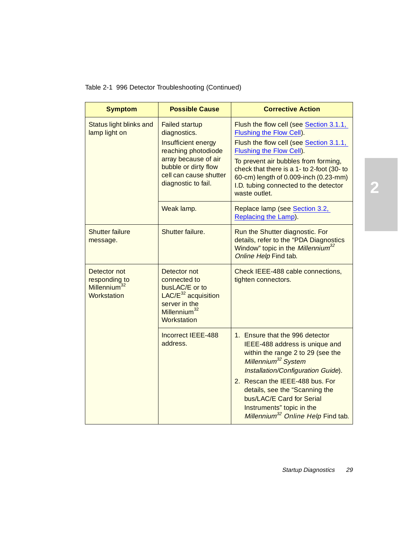| <b>Symptom</b>                                                           | <b>Possible Cause</b>                                                                                                                                                                | <b>Corrective Action</b>                                                                                                                                                                                                                                                                                                                                         |
|--------------------------------------------------------------------------|--------------------------------------------------------------------------------------------------------------------------------------------------------------------------------------|------------------------------------------------------------------------------------------------------------------------------------------------------------------------------------------------------------------------------------------------------------------------------------------------------------------------------------------------------------------|
| Status light blinks and<br>lamp light on                                 | <b>Failed startup</b><br>diagnostics.<br>Insufficient energy<br>reaching photodiode<br>array because of air<br>bubble or dirty flow<br>cell can cause shutter<br>diagnostic to fail. | Flush the flow cell (see Section 3.1.1,<br>Flushing the Flow Cell).<br>Flush the flow cell (see Section 3.1.1,<br>Flushing the Flow Cell).<br>To prevent air bubbles from forming,<br>check that there is a 1- to 2-foot (30- to<br>60-cm) length of 0.009-inch (0.23-mm)<br>I.D. tubing connected to the detector<br>waste outlet.                              |
|                                                                          | Weak lamp.                                                                                                                                                                           | Replace lamp (see Section 3.2,<br>Replacing the Lamp).                                                                                                                                                                                                                                                                                                           |
| <b>Shutter failure</b><br>message.                                       | Shutter failure.                                                                                                                                                                     | Run the Shutter diagnostic. For<br>details, refer to the "PDA Diagnostics<br>Window" topic in the Millennium <sup>32</sup><br>Online Help Find tab.                                                                                                                                                                                                              |
| Detector not<br>responding to<br>Millennium <sup>32</sup><br>Workstation | Detector not<br>connected to<br>busLAC/E or to<br>$LAC/E^{32}$ acquisition<br>server in the<br>Millennium <sup>32</sup><br>Workstation                                               | Check IEEE-488 cable connections,<br>tighten connectors.                                                                                                                                                                                                                                                                                                         |
|                                                                          | Incorrect IEEE-488<br>address.                                                                                                                                                       | 1. Ensure that the 996 detector<br>IEEE-488 address is unique and<br>within the range 2 to 29 (see the<br>Millennium <sup>32</sup> System<br>Installation/Configuration Guide).<br>2. Rescan the IEEE-488 bus. For<br>details, see the "Scanning the<br>bus/LAC/E Card for Serial<br>Instruments" topic in the<br>Millennium <sup>32</sup> Online Help Find tab. |

Table 2-1 996 Detector Troubleshooting (Continued)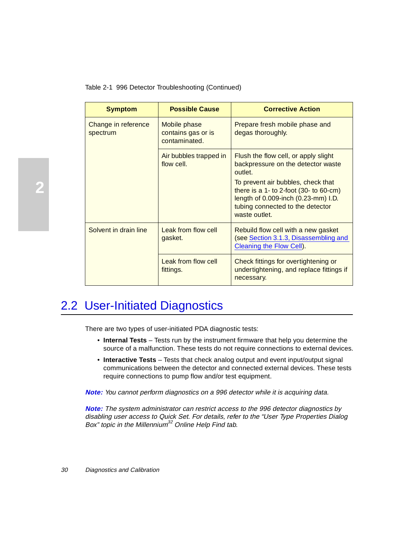| <b>Symptom</b>                  | <b>Possible Cause</b>                               | <b>Corrective Action</b>                                                                                                                                                                                                                                              |
|---------------------------------|-----------------------------------------------------|-----------------------------------------------------------------------------------------------------------------------------------------------------------------------------------------------------------------------------------------------------------------------|
| Change in reference<br>spectrum | Mobile phase<br>contains gas or is<br>contaminated. | Prepare fresh mobile phase and<br>degas thoroughly.                                                                                                                                                                                                                   |
|                                 | Air bubbles trapped in<br>flow cell.                | Flush the flow cell, or apply slight<br>backpressure on the detector waste<br>outlet.<br>To prevent air bubbles, check that<br>there is a 1- to 2-foot $(30 - t_0 60-cm)$<br>length of 0.009-inch (0.23-mm) I.D.<br>tubing connected to the detector<br>waste outlet. |
| Solvent in drain line           | Leak from flow cell<br>gasket.                      | Rebuild flow cell with a new gasket<br>(see Section 3.1.3, Disassembling and<br>Cleaning the Flow Cell).                                                                                                                                                              |
|                                 | Leak from flow cell<br>fittings.                    | Check fittings for overtightening or<br>undertightening, and replace fittings if<br>necessary.                                                                                                                                                                        |

<span id="page-29-0"></span>Table 2-1 996 Detector Troubleshooting (Continued)

# 2.2 User-Initiated Diagnostics

There are two types of user-initiated PDA diagnostic tests:

- **Internal Tests** Tests run by the instrument firmware that help you determine the source of a malfunction. These tests do not require connections to external devices.
- **Interactive Tests**  Tests that check analog output and event input/output signal communications between the detector and connected external devices. These tests require connections to pump flow and/or test equipment.

**Note:** You cannot perform diagnostics on a 996 detector while it is acquiring data.

**Note:** The system administrator can restrict access to the 996 detector diagnostics by disabling user access to Quick Set. For details, refer to the "User Type Properties Dialog Box" topic in the Millennium<sup>32</sup> Online Help Find tab.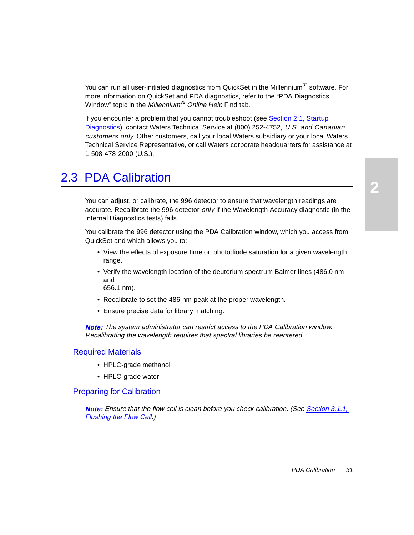<span id="page-30-0"></span>You can run all user-initiated diagnostics from QuickSet in the Millennium<sup>32</sup> software. For more information on QuickSet and PDA diagnostics, refer to the "PDA Diagnostics Window" topic in the Millennium<sup>32</sup> Online Help Find tab.

If you encounter a problem that you cannot troubleshoot (see [Section 2.1, Startup](#page-26-0)  [Diagnostics](#page-26-0)), contact Waters Technical Service at (800) 252-4752, U.S. and Canadian customers only. Other customers, call your local Waters subsidiary or your local Waters Technical Service Representative, or call Waters corporate headquarters for assistance at 1-508-478-2000 (U.S.).

# 2.3 PDA Calibration

You can adjust, or calibrate, the 996 detector to ensure that wavelength readings are accurate. Recalibrate the 996 detector *only* if the Wavelength Accuracy diagnostic (in the Internal Diagnostics tests) fails.

You calibrate the 996 detector using the PDA Calibration window, which you access from QuickSet and which allows you to:

- View the effects of exposure time on photodiode saturation for a given wavelength range.
- Verify the wavelength location of the deuterium spectrum Balmer lines (486.0 nm and 656.1 nm).
- Recalibrate to set the 486-nm peak at the proper wavelength.
- Ensure precise data for library matching.

**Note:** The system administrator can restrict access to the PDA Calibration window. Recalibrating the wavelength requires that spectral libraries be reentered.

#### Required Materials

- HPLC-grade methanol
- HPLC-grade water

### Preparing for Calibration

**Note:** Ensure that the flow cell is clean before you check calibration. (See Section 3.1.1, [Flushing the Flow Cell](#page-32-0).)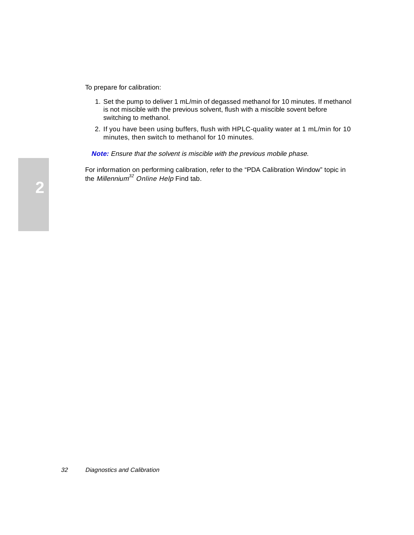To prepare for calibration:

- 1. Set the pump to deliver 1 mL/min of degassed methanol for 10 minutes. If methanol is not miscible with the previous solvent, flush with a miscible sovent before switching to methanol.
- 2. If you have been using buffers, flush with HPLC-quality water at 1 mL/min for 10 minutes, then switch to methanol for 10 minutes.

**Note:** Ensure that the solvent is miscible with the previous mobile phase.

For information on performing calibration, refer to the "PDA Calibration Window" topic in the Millennium<sup>32</sup> Online Help Find tab.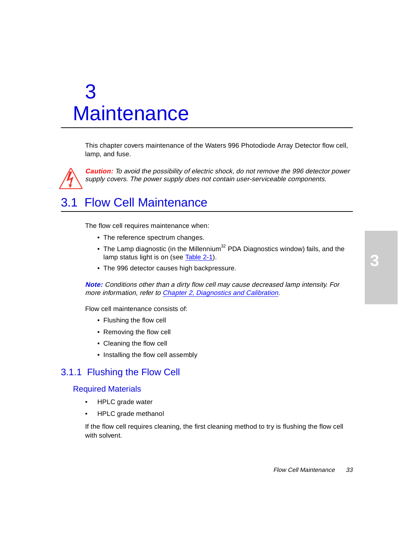#### Flow Cell Maintenance 33

# <span id="page-32-0"></span>3 **Maintenance**

This chapter covers maintenance of the Waters 996 Photodiode Array Detector flow cell, lamp, and fuse.

**Caution:** To avoid the possibility of electric shock, do not remove the 996 detector power supply covers. The power supply does not contain user-serviceable components.

# 3.1 Flow Cell Maintenance

The flow cell requires maintenance when:

- The reference spectrum changes.
- The Lamp diagnostic (in the Millennium<sup>32</sup> PDA Diagnostics window) fails, and the lamp status light is on (see [Table 2-1](#page-27-0)).
- The 996 detector causes high backpressure.

**Note:** Conditions other than a dirty flow cell may cause decreased lamp intensity. For more information, refer to [Chapter 2, Diagnostics and Calibration](#page-26-0).

Flow cell maintenance consists of:

- Flushing the flow cell
- Removing the flow cell
- Cleaning the flow cell
- Installing the flow cell assembly

## 3.1.1 Flushing the Flow Cell

#### Required Materials

- HPLC grade water
- HPLC grade methanol

If the flow cell requires cleaning, the first cleaning method to try is flushing the flow cell with solvent.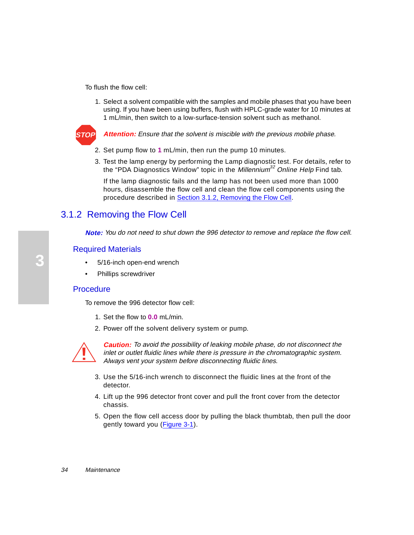<span id="page-33-0"></span>To flush the flow cell:

1. Select a solvent compatible with the samples and mobile phases that you have been using. If you have been using buffers, flush with HPLC-grade water for 10 minutes at 1 mL/min, then switch to a low-surface-tension solvent such as methanol.



**Attention:** Ensure that the solvent is miscible with the previous mobile phase.

- 2. Set pump flow to **1** mL/min, then run the pump 10 minutes.
- 3. Test the lamp energy by performing the Lamp diagnostic test. For details, refer to the "PDA Diagnostics Window" topic in the *Millennium*<sup>32</sup> Online Help Find tab.

If the lamp diagnostic fails and the lamp has not been used more than 1000 hours, disassemble the flow cell and clean the flow cell components using the procedure described in Section 3.1.2, Removing the Flow Cell.

# 3.1.2 Removing the Flow Cell

**Note:** You do not need to shut down the 996 detector to remove and replace the flow cell.

### Required Materials

- 5/16-inch open-end wrench
- Phillips screwdriver

#### Procedure

To remove the 996 detector flow cell:

- 1. Set the flow to **0.0** mL/min.
- 2. Power off the solvent delivery system or pump.



**Caution:** To avoid the possibility of leaking mobile phase, do not disconnect the inlet or outlet fluidic lines while there is pressure in the chromatographic system. Always vent your system before disconnecting fluidic lines.

- 3. Use the 5/16-inch wrench to disconnect the fluidic lines at the front of the detector.
- 4. Lift up the 996 detector front cover and pull the front cover from the detector chassis.
- 5. Open the flow cell access door by pulling the black thumbtab, then pull the door gently toward you [\(Figure 3-1](#page-34-0)).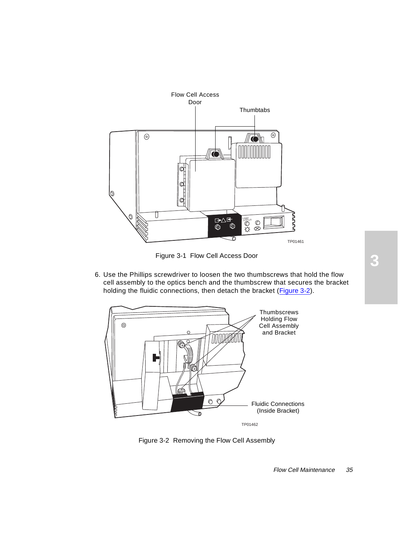<span id="page-34-0"></span>

**3** Figure 3-1 Flow Cell Access Door

6. Use the Phillips screwdriver to loosen the two thumbscrews that hold the flow cell assembly to the optics bench and the thumbscrew that secures the bracket holding the fluidic connections, then detach the bracket (Figure 3-2).



Figure 3-2 Removing the Flow Cell Assembly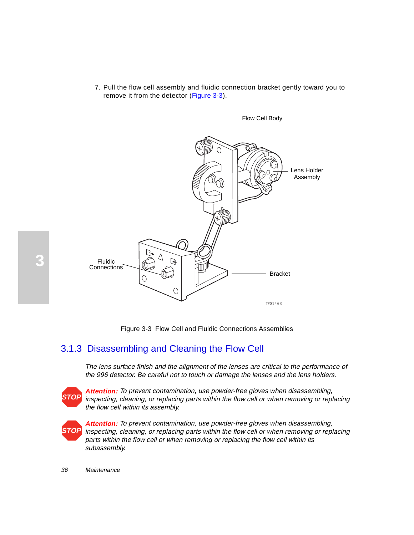7. Pull the flow cell assembly and fluidic connection bracket gently toward you to remove it from the detector (Figure 3-3).

<span id="page-35-0"></span>

Figure 3-3 Flow Cell and Fluidic Connections Assemblies

# 3.1.3 Disassembling and Cleaning the Flow Cell

The lens surface finish and the alignment of the lenses are critical to the performance of the 996 detector. Be careful not to touch or damage the lenses and the lens holders.



**Attention:** To prevent contamination, use powder-free gloves when disassembling, inspecting, cleaning, or replacing parts within the flow cell or when removing or replacing the flow cell within its assembly.



**Attention:** To prevent contamination, use powder-free gloves when disassembling, inspecting, cleaning, or replacing parts within the flow cell or when removing or replacing parts within the flow cell or when removing or replacing the flow cell within its subassembly.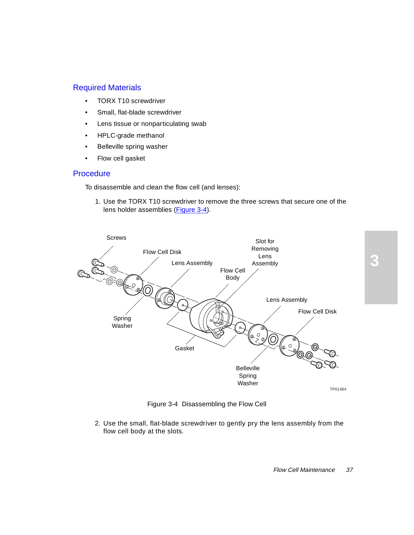### <span id="page-36-0"></span>Required Materials

- TORX T10 screwdriver
- Small, flat-blade screwdriver
- Lens tissue or nonparticulating swab
- HPLC-grade methanol
- Belleville spring washer
- Flow cell gasket

#### **Procedure**

To disassemble and clean the flow cell (and lenses):

1. Use the TORX T10 screwdriver to remove the three screws that secure one of the lens holder assemblies (Figure 3-4).



Figure 3-4 Disassembling the Flow Cell

2. Use the small, flat-blade screwdriver to gently pry the lens assembly from the flow cell body at the slots.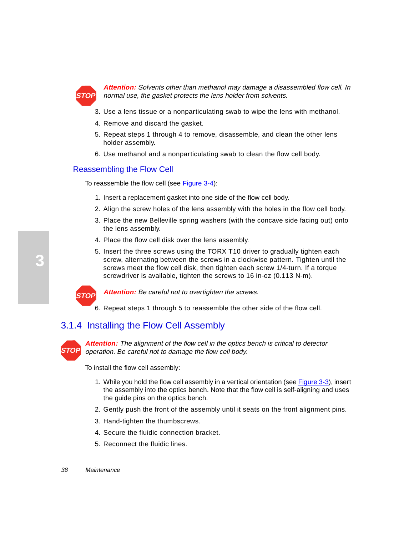

**Attention:** Solvents other than methanol may damage a disassembled flow cell. In normal use, the gasket protects the lens holder from solvents.

- 3. Use a lens tissue or a nonparticulating swab to wipe the lens with methanol.
- 4. Remove and discard the gasket.
- 5. Repeat steps 1 through 4 to remove, disassemble, and clean the other lens holder assembly.
- 6. Use methanol and a nonparticulating swab to clean the flow cell body.

#### Reassembling the Flow Cell

To reassemble the flow cell (see [Figure 3-4](#page-36-0)):

- 1. Insert a replacement gasket into one side of the flow cell body.
- 2. Align the screw holes of the lens assembly with the holes in the flow cell body.
- 3. Place the new Belleville spring washers (with the concave side facing out) onto the lens assembly.
- 4. Place the flow cell disk over the lens assembly.
- 5. Insert the three screws using the TORX T10 driver to gradually tighten each screw, alternating between the screws in a clockwise pattern. Tighten until the screws meet the flow cell disk, then tighten each screw 1/4-turn. If a torque screwdriver is available, tighten the screws to 16 in-oz (0.113 N-m).



Attention: Be careful not to overtighten the screws.

6. Repeat steps 1 through 5 to reassemble the other side of the flow cell.

# 3.1.4 Installing the Flow Cell Assembly



**Attention:** The alignment of the flow cell in the optics bench is critical to detector operation. Be careful not to damage the flow cell body.

To install the flow cell assembly:

- 1. While you hold the flow cell assembly in a vertical orientation (see [Figure 3-3\)](#page-35-0), insert the assembly into the optics bench. Note that the flow cell is self-aligning and uses the guide pins on the optics bench.
- 2. Gently push the front of the assembly until it seats on the front alignment pins.
- 3. Hand-tighten the thumbscrews.
- 4. Secure the fluidic connection bracket.
- 5. Reconnect the fluidic lines.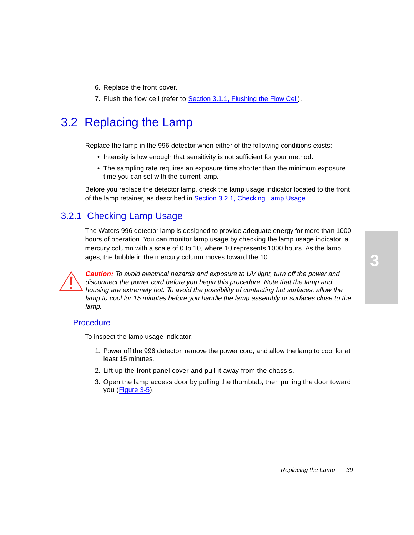- 6. Replace the front cover.
- 7. Flush the flow cell (refer to **Section 3.1.1, Flushing the Flow Cell).**

# 3.2 Replacing the Lamp

Replace the lamp in the 996 detector when either of the following conditions exists:

- Intensity is low enough that sensitivity is not sufficient for your method.
- The sampling rate requires an exposure time shorter than the minimum exposure time you can set with the current lamp.

Before you replace the detector lamp, check the lamp usage indicator located to the front of the lamp retainer, as described in Section 3.2.1, Checking Lamp Usage.

# 3.2.1 Checking Lamp Usage

The Waters 996 detector lamp is designed to provide adequate energy for more than 1000 hours of operation. You can monitor lamp usage by checking the lamp usage indicator, a mercury column with a scale of 0 to 10, where 10 represents 1000 hours. As the lamp ages, the bubble in the mercury column moves toward the 10.

**Caution:** To avoid electrical hazards and exposure to UV light, turn off the power and disconnect the power cord before you begin this procedure. Note that the lamp and housing are extremely hot. To avoid the possibility of contacting hot surfaces, allow the lamp to cool for 15 minutes before you handle the lamp assembly or surfaces close to the lamp.

## **Procedure**

To inspect the lamp usage indicator:

- 1. Power off the 996 detector, remove the power cord, and allow the lamp to cool for at least 15 minutes.
- 2. Lift up the front panel cover and pull it away from the chassis.
- 3. Open the lamp access door by pulling the thumbtab, then pulling the door toward you ([Figure 3-5](#page-39-0)).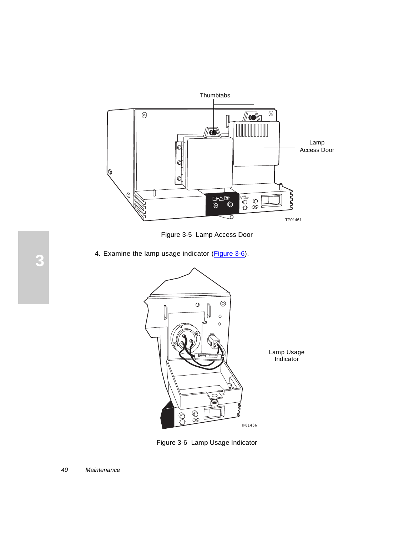<span id="page-39-0"></span>

Figure 3-5 Lamp Access Door

4. Examine the lamp usage indicator (Figure 3-6).



Figure 3-6 Lamp Usage Indicator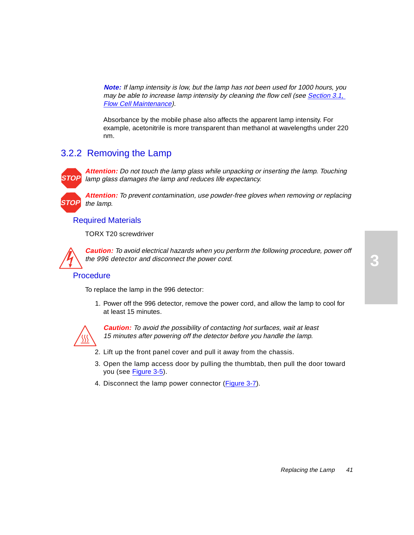**Note:** If lamp intensity is low, but the lamp has not been used for 1000 hours, you may be able to increase lamp intensity by cleaning the flow cell (se[e Section 3.1,](#page-32-0)  [Flow Cell Maintenance](#page-32-0)).

Absorbance by the mobile phase also affects the apparent lamp intensity. For example, acetonitrile is more transparent than methanol at wavelengths under 220 nm.

# 3.2.2 Removing the Lamp

**STOP**

**STOP**

**Attention:** Do not touch the lamp glass while unpacking or inserting the lamp. Touching lamp glass damages the lamp and reduces life expectancy.

**Attention:** To prevent contamination, use powder-free gloves when removing or replacing the lamp.

#### Required Materials

TORX T20 screwdriver

**Caution:** To avoid electrical hazards when you perform the following procedure, power off the 996 detector and disconnect the power cord.

## **Procedure**

To replace the lamp in the 996 detector:

1. Power off the 996 detector, remove the power cord, and allow the lamp to cool for at least 15 minutes.



**Caution:** To avoid the possibility of contacting hot surfaces, wait at least 15 minutes after powering off the detector before you handle the lamp.

- 2. Lift up the front panel cover and pull it away from the chassis.
- 3. Open the lamp access door by pulling the thumbtab, then pull the door toward you (see [Figure 3-5](#page-39-0)).
- 4. Disconnect the lamp power connector [\(Figure 3-7](#page-41-0)).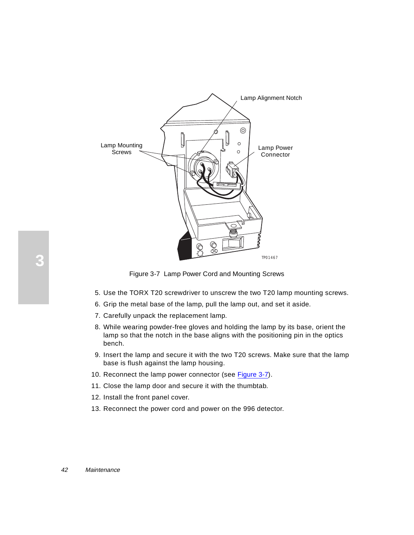<span id="page-41-0"></span>

Figure 3-7 Lamp Power Cord and Mounting Screws

- 5. Use the TORX T20 screwdriver to unscrew the two T20 lamp mounting screws.
- 6. Grip the metal base of the lamp, pull the lamp out, and set it aside.
- 7. Carefully unpack the replacement lamp.
- 8. While wearing powder-free gloves and holding the lamp by its base, orient the lamp so that the notch in the base aligns with the positioning pin in the optics bench.
- 9. Insert the lamp and secure it with the two T20 screws. Make sure that the lamp base is flush against the lamp housing.
- 10. Reconnect the lamp power connector (see Figure 3-7).
- 11. Close the lamp door and secure it with the thumbtab.
- 12. Install the front panel cover.
- 13. Reconnect the power cord and power on the 996 detector.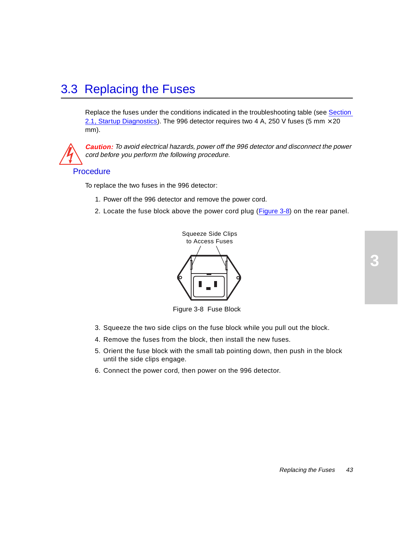# 3.3 Replacing the Fuses

Replace the fuses under the conditions indicated in the troubleshooting table (se[e Section](#page-26-0)  [2.1, Startup Diagnostics](#page-26-0)). The 996 detector requires two 4 A, 250 V fuses (5 mm  $\times$  20 mm).



**Caution:** To avoid electrical hazards, power off the 996 detector and disconnect the power cord before you perform the following procedure.

#### **Procedure**

To replace the two fuses in the 996 detector:

- 1. Power off the 996 detector and remove the power cord.
- 2. Locate the fuse block above the power cord plug (Figure 3-8) on the rear panel.



Figure 3-8 Fuse Block

- 3. Squeeze the two side clips on the fuse block while you pull out the block.
- 4. Remove the fuses from the block, then install the new fuses.
- 5. Orient the fuse block with the small tab pointing down, then push in the block until the side clips engage.
- 6. Connect the power cord, then power on the 996 detector.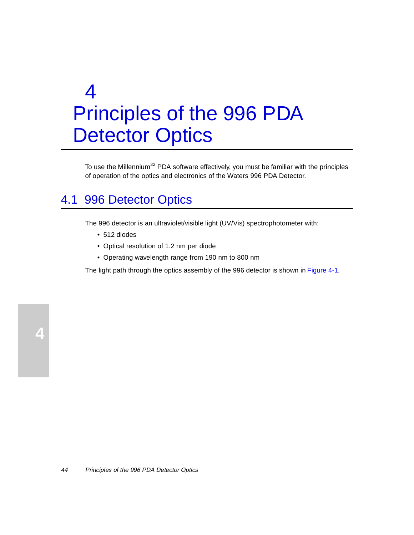# 4 Principles of the 996 PDA Detector Optics

To use the Millennium<sup>32</sup> PDA software effectively, you must be familiar with the principles of operation of the optics and electronics of the Waters 996 PDA Detector.

# 4.1 996 Detector Optics

The 996 detector is an ultraviolet/visible light (UV/Vis) spectrophotometer with:

- 512 diodes
- Optical resolution of 1.2 nm per diode
- Operating wavelength range from 190 nm to 800 nm

The light path through the optics assembly of the 996 detector is shown i[n Figure 4-](#page-44-0)1.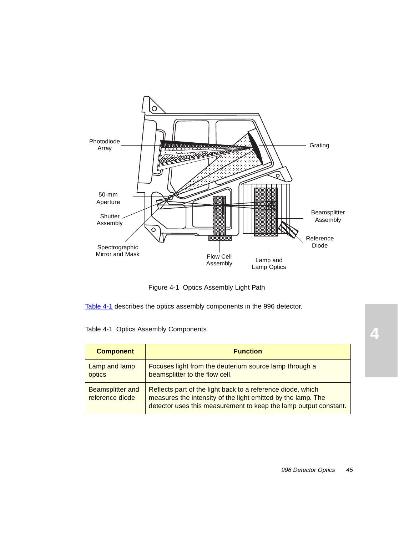<span id="page-44-0"></span>

Figure 4-1 Optics Assembly Light Path

Table 4-1 describes the optics assembly components in the 996 detector.

| Table 4-1 Optics Assembly Components |  |
|--------------------------------------|--|
|                                      |  |

| <b>Component</b>                           | <b>Function</b>                                                                                                                                                                                 |
|--------------------------------------------|-------------------------------------------------------------------------------------------------------------------------------------------------------------------------------------------------|
| Lamp and lamp<br>optics                    | Focuses light from the deuterium source lamp through a<br>beamsplitter to the flow cell.                                                                                                        |
| <b>Beamsplitter and</b><br>reference diode | Reflects part of the light back to a reference diode, which<br>measures the intensity of the light emitted by the lamp. The<br>detector uses this measurement to keep the lamp output constant. |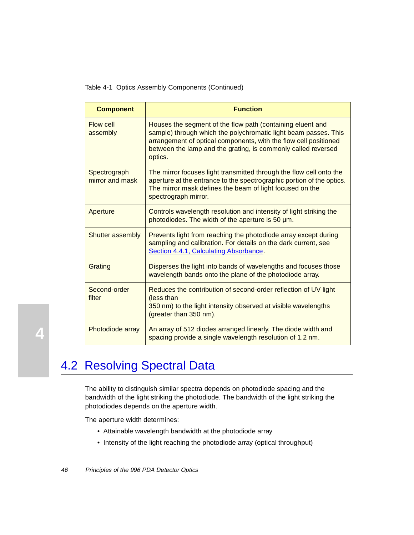Table 4-1 Optics Assembly Components (Continued)

| <b>Component</b>                | <b>Function</b>                                                                                                                                                                                                                                                               |
|---------------------------------|-------------------------------------------------------------------------------------------------------------------------------------------------------------------------------------------------------------------------------------------------------------------------------|
| Flow cell<br>assembly           | Houses the segment of the flow path (containing eluent and<br>sample) through which the polychromatic light beam passes. This<br>arrangement of optical components, with the flow cell positioned<br>between the lamp and the grating, is commonly called reversed<br>optics. |
| Spectrograph<br>mirror and mask | The mirror focuses light transmitted through the flow cell onto the<br>aperture at the entrance to the spectrographic portion of the optics.<br>The mirror mask defines the beam of light focused on the<br>spectrograph mirror.                                              |
| Aperture                        | Controls wavelength resolution and intensity of light striking the<br>photodiodes. The width of the aperture is 50 um.                                                                                                                                                        |
| <b>Shutter assembly</b>         | Prevents light from reaching the photodiode array except during<br>sampling and calibration. For details on the dark current, see<br>Section 4.4.1, Calculating Absorbance.                                                                                                   |
| Grating                         | Disperses the light into bands of wavelengths and focuses those<br>wavelength bands onto the plane of the photodiode array.                                                                                                                                                   |
| Second-order<br>filter          | Reduces the contribution of second-order reflection of UV light<br>(less than<br>350 nm) to the light intensity observed at visible wavelengths<br>(greater than 350 nm).                                                                                                     |
| Photodiode array                | An array of 512 diodes arranged linearly. The diode width and<br>spacing provide a single wavelength resolution of 1.2 nm.                                                                                                                                                    |

# 4.2 Resolving Spectral Data

The ability to distinguish similar spectra depends on photodiode spacing and the bandwidth of the light striking the photodiode. The bandwidth of the light striking the photodiodes depends on the aperture width.

The aperture width determines:

- Attainable wavelength bandwidth at the photodiode array
- Intensity of the light reaching the photodiode array (optical throughput)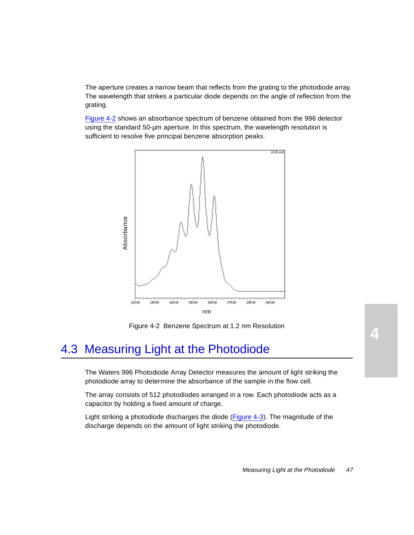The aperture creates a narrow beam that reflects from the grating to the photodiode array. The wavelength that strikes a particular diode depends on the angle of reflection from the grating.

Figure 4-2 shows an absorbance spectrum of benzene obtained from the 996 detector using the standard 50-µm aperture. In this spectrum, the wavelength resolution is sufficient to resolve five principal benzene absorption peaks.



Figure 4-2 Benzene Spectrum at 1.2 nm Resolution

# 4.3 Measuring Light at the Photodiode

The Waters 996 Photodiode Array Detector measures the amount of light striking the photodiode array to determine the absorbance of the sample in the flow cell.

The array consists of 512 photodiodes arranged in a row. Each photodiode acts as a capacitor by holding a fixed amount of charge.

Light striking a photodiode discharges the diode [\(Figure 4-3](#page-47-0)). The magnitude of the discharge depends on the amount of light striking the photodiode.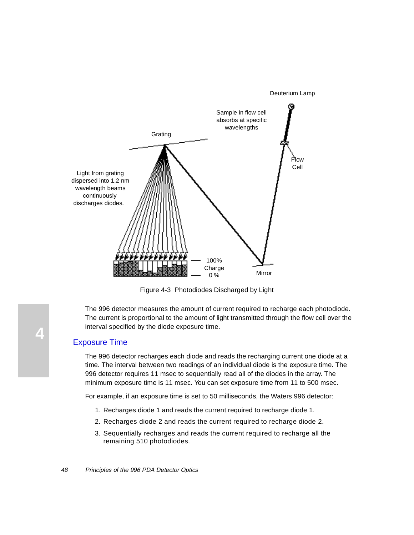Deuterium Lamp

<span id="page-47-0"></span>

Figure 4-3 Photodiodes Discharged by Light

The 996 detector measures the amount of current required to recharge each photodiode. The current is proportional to the amount of light transmitted through the flow cell over the interval specified by the diode exposure time.

#### Exposure Time

The 996 detector recharges each diode and reads the recharging current one diode at a time. The interval between two readings of an individual diode is the exposure time. The 996 detector requires 11 msec to sequentially read all of the diodes in the array. The minimum exposure time is 11 msec. You can set exposure time from 11 to 500 msec.

For example, if an exposure time is set to 50 milliseconds, the Waters 996 detector:

- 1. Recharges diode 1 and reads the current required to recharge diode 1.
- 2. Recharges diode 2 and reads the current required to recharge diode 2.
- 3. Sequentially recharges and reads the current required to recharge all the remaining 510 photodiodes.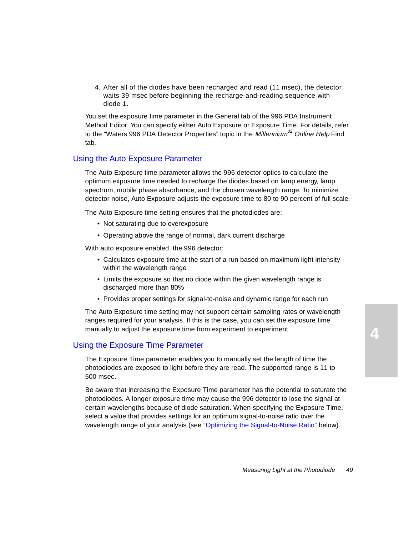4. After all of the diodes have been recharged and read (11 msec), the detector waits 39 msec before beginning the recharge-and-reading sequence with diode 1.

You set the exposure time parameter in the General tab of the 996 PDA Instrument Method Editor. You can specify either Auto Exposure or Exposure Time. For details, refer to the "Waters 996 PDA Detector Properties" topic in the *Millennium*<sup>32</sup> Online Help Find tab.

#### Using the Auto Exposure Parameter

The Auto Exposure time parameter allows the 996 detector optics to calculate the optimum exposure time needed to recharge the diodes based on lamp energy, lamp spectrum, mobile phase absorbance, and the chosen wavelength range. To minimize detector noise, Auto Exposure adjusts the exposure time to 80 to 90 percent of full scale.

The Auto Exposure time setting ensures that the photodiodes are:

- Not saturating due to overexposure
- Operating above the range of normal, dark current discharge

With auto exposure enabled, the 996 detector:

- Calculates exposure time at the start of a run based on maximum light intensity within the wavelength range
- Limits the exposure so that no diode within the given wavelength range is discharged more than 80%
- Provides proper settings for signal-to-noise and dynamic range for each run

The Auto Exposure time setting may not support certain sampling rates or wavelength ranges required for your analysis. If this is the case, you can set the exposure time manually to adjust the exposure time from experiment to experiment.

### Using the Exposure Time Parameter

The Exposure Time parameter enables you to manually set the length of time the photodiodes are exposed to light before they are read. The supported range is 11 to 500 msec.

Be aware that increasing the Exposure Time parameter has the potential to saturate the photodiodes. A longer exposure time may cause the 996 detector to lose the signal at certain wavelengths because of diode saturation. When specifying the Exposure Time, select a value that provides settings for an optimum signal-to-noise ratio over the wavelength range of your analysis (see ["Optimizing the Signal-to-Noise Ratio](#page-49-0)" below).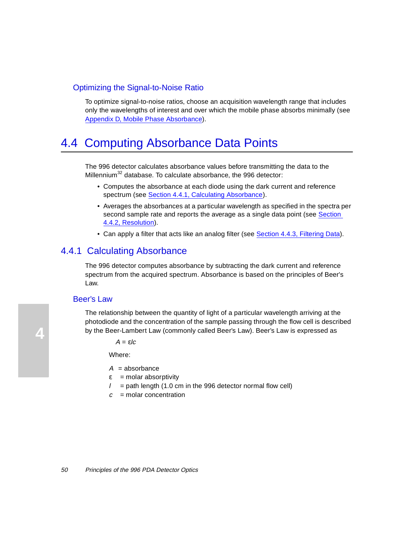## <span id="page-49-0"></span>Optimizing the Signal-to-Noise Ratio

To optimize signal-to-noise ratios, choose an acquisition wavelength range that includes only the wavelengths of interest and over which the mobile phase absorbs minimally (see [Appendix D, Mobile Phase Absorbance](#page-69-0)).

# 4.4 Computing Absorbance Data Points

The 996 detector calculates absorbance values before transmitting the data to the Millennium<sup>32</sup> database. To calculate absorbance, the 996 detector:

- Computes the absorbance at each diode using the dark current and reference spectrum (see Section 4.4.1, Calculating Absorbance).
- Averages the absorbances at a particular wavelength as specified in the spectra per second sample rate and reports the average as a single data point (see Section [4.4.2, Resolution](#page-51-0)).
- Can apply a filter that acts like an analog filter (se[e Section 4.4.3, Filtering Dat](#page-52-0)a).

## 4.4.1 Calculating Absorbance

The 996 detector computes absorbance by subtracting the dark current and reference spectrum from the acquired spectrum. Absorbance is based on the principles of Beer's Law.

#### Beer's Law

The relationship between the quantity of light of a particular wavelength arriving at the photodiode and the concentration of the sample passing through the flow cell is described by the Beer-Lambert Law (commonly called Beer's Law). Beer's Law is expressed as

 $A = \varepsilon/c$ 

Where:

- $A =$ absorbance
- $\epsilon$  = molar absorptivity
- $l =$  path length (1.0 cm in the 996 detector normal flow cell)
- $c =$  molar concentration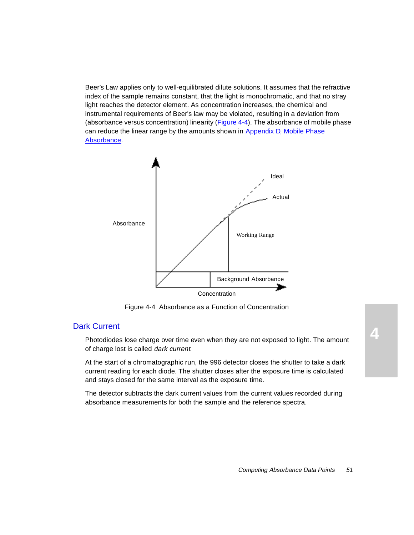Beer's Law applies only to well-equilibrated dilute solutions. It assumes that the refractive index of the sample remains constant, that the light is monochromatic, and that no stray light reaches the detector element. As concentration increases, the chemical and instrumental requirements of Beer's law may be violated, resulting in a deviation from (absorbance versus concentration) linearity (Figure 4-4). The absorbance of mobile phase can reduce the linear range by the amounts shown i[n Appendix D, Mobile Phase](#page-69-0)  [Absorbance](#page-69-0).



Figure 4-4 Absorbance as a Function of Concentration

#### Dark Current

Photodiodes lose charge over time even when they are not exposed to light. The amount of charge lost is called dark current.

At the start of a chromatographic run, the 996 detector closes the shutter to take a dark current reading for each diode. The shutter closes after the exposure time is calculated and stays closed for the same interval as the exposure time.

The detector subtracts the dark current values from the current values recorded during absorbance measurements for both the sample and the reference spectra.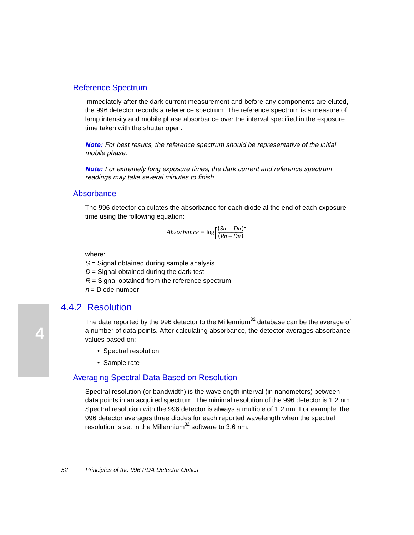#### <span id="page-51-0"></span>Reference Spectrum

Immediately after the dark current measurement and before any components are eluted, the 996 detector records a reference spectrum. The reference spectrum is a measure of lamp intensity and mobile phase absorbance over the interval specified in the exposure time taken with the shutter open.

**Note:** For best results, the reference spectrum should be representative of the initial mobile phase.

**Note:** For extremely long exposure times, the dark current and reference spectrum readings may take several minutes to finish.

#### **Absorbance**

The 996 detector calculates the absorbance for each diode at the end of each exposure time using the following equation:

$$
Absorbance = \log \left[ \frac{(Sn - Dn)}{(Rn - Dn)} \right]
$$

where:

 $S =$  Signal obtained during sample analysis

 $D =$  Signal obtained during the dark test

 $R =$  Signal obtained from the reference spectrum

 $n =$ Diode number

## 4.4.2 Resolution

The data reported by the 996 detector to the Millennium<sup>32</sup> database can be the average of a number of data points. After calculating absorbance, the detector averages absorbance values based on:

- Spectral resolution
- Sample rate

#### Averaging Spectral Data Based on Resolution

Spectral resolution (or bandwidth) is the wavelength interval (in nanometers) between data points in an acquired spectrum. The minimal resolution of the 996 detector is 1.2 nm. Spectral resolution with the 996 detector is always a multiple of 1.2 nm. For example, the 996 detector averages three diodes for each reported wavelength when the spectral resolution is set in the Millennium<sup>32</sup> software to 3.6 nm.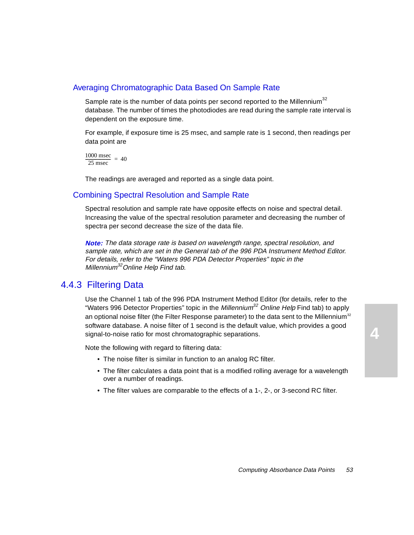## <span id="page-52-0"></span>Averaging Chromatographic Data Based On Sample Rate

Sample rate is the number of data points per second reported to the Millennium $32$ database. The number of times the photodiodes are read during the sample rate interval is dependent on the exposure time.

For example, if exposure time is 25 msec, and sample rate is 1 second, then readings per data point are

 $\frac{1000 \text{ msec}}{25 \text{ msec}} = 40$ 

The readings are averaged and reported as a single data point.

#### Combining Spectral Resolution and Sample Rate

Spectral resolution and sample rate have opposite effects on noise and spectral detail. Increasing the value of the spectral resolution parameter and decreasing the number of spectra per second decrease the size of the data file.

**Note:** The data storage rate is based on wavelength range, spectral resolution, and sample rate, which are set in the General tab of the 996 PDA Instrument Method Editor. For details, refer to the "Waters 996 PDA Detector Properties" topic in the Millennium<sup>32</sup>Online Help Find tab.

# 4.4.3 Filtering Data

Use the Channel 1 tab of the 996 PDA Instrument Method Editor (for details, refer to the "Waters 996 Detector Properties" topic in the Millennium<sup>32</sup> Online Help Find tab) to apply an optional noise filter (the Filter Response parameter) to the data sent to the Millennium<sup>32</sup> software database. A noise filter of 1 second is the default value, which provides a good signal-to-noise ratio for most chromatographic separations.

Note the following with regard to filtering data:

- The noise filter is similar in function to an analog RC filter.
- The filter calculates a data point that is a modified rolling average for a wavelength over a number of readings.
- The filter values are comparable to the effects of a 1-, 2-, or 3-second RC filter.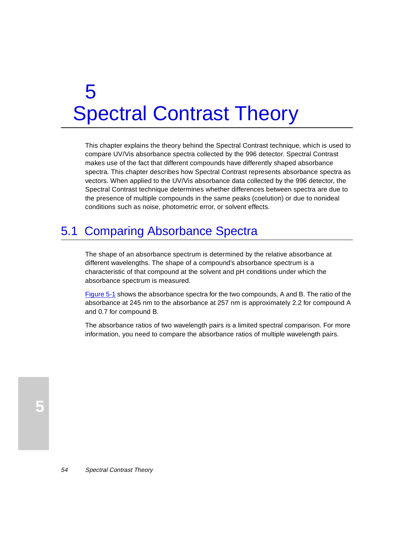# 5 Spectral Contrast Theory

This chapter explains the theory behind the Spectral Contrast technique, which is used to compare UV/Vis absorbance spectra collected by the 996 detector. Spectral Contrast makes use of the fact that different compounds have differently shaped absorbance spectra. This chapter describes how Spectral Contrast represents absorbance spectra as vectors. When applied to the UV/Vis absorbance data collected by the 996 detector, the Spectral Contrast technique determines whether differences between spectra are due to the presence of multiple compounds in the same peaks (coelution) or due to nonideal conditions such as noise, photometric error, or solvent effects.

# 5.1 Comparing Absorbance Spectra

The shape of an absorbance spectrum is determined by the relative absorbance at different wavelengths. The shape of a compound's absorbance spectrum is a characteristic of that compound at the solvent and pH conditions under which the absorbance spectrum is measured.

[Figure 5-1](#page-54-0) shows the absorbance spectra for the two compounds, A and B. The ratio of the absorbance at 245 nm to the absorbance at 257 nm is approximately 2.2 for compound A and 0.7 for compound B.

The absorbance ratios of two wavelength pairs is a limited spectral comparison. For more information, you need to compare the absorbance ratios of multiple wavelength pairs.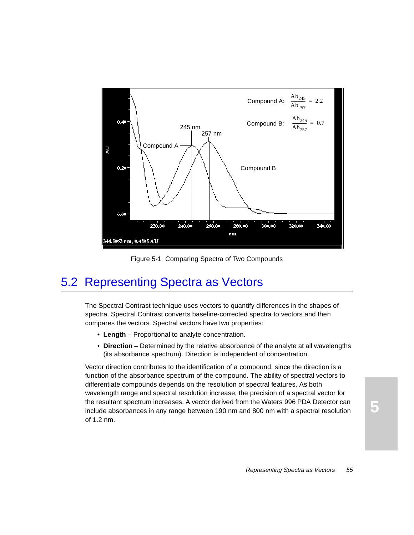<span id="page-54-0"></span>

Figure 5-1 Comparing Spectra of Two Compounds

# 5.2 Representing Spectra as Vectors

The Spectral Contrast technique uses vectors to quantify differences in the shapes of spectra. Spectral Contrast converts baseline-corrected spectra to vectors and then compares the vectors. Spectral vectors have two properties:

- **Length** Proportional to analyte concentration.
- **Direction** Determined by the relative absorbance of the analyte at all wavelengths (its absorbance spectrum). Direction is independent of concentration.

Vector direction contributes to the identification of a compound, since the direction is a function of the absorbance spectrum of the compound. The ability of spectral vectors to differentiate compounds depends on the resolution of spectral features. As both wavelength range and spectral resolution increase, the precision of a spectral vector for the resultant spectrum increases. A vector derived from the Waters 996 PDA Detector can include absorbances in any range between 190 nm and 800 nm with a spectral resolution of 1.2 nm.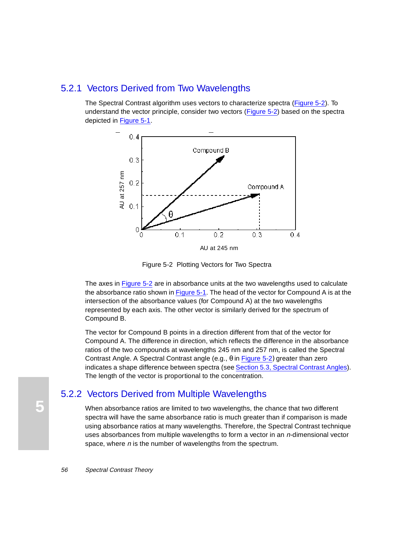## 5.2.1 Vectors Derived from Two Wavelengths

The Spectral Contrast algorithm uses vectors to characterize spectra (Figure 5-2). To understand the vector principle, consider two vectors (Figure 5-2) based on the spectra depicted in [Figure 5-1](#page-54-0).



Figure 5-2 Plotting Vectors for Two Spectra

The axes in Figure 5-2 are in absorbance units at the two wavelengths used to calculate the absorbance ratio shown in [Figure 5-1](#page-54-0). The head of the vector for Compound A is at the intersection of the absorbance values (for Compound A) at the two wavelengths represented by each axis. The other vector is similarly derived for the spectrum of Compound B.

The vector for Compound B points in a direction different from that of the vector for Compound A. The difference in direction, which reflects the difference in the absorbance ratios of the two compounds at wavelengths 245 nm and 257 nm, is called the Spectral Contrast Angle. A Spectral Contrast angle (e.g., θ in Figure 5-2) greater than zero indicates a shape difference between spectra (see [Section 5.3, Spectral Contrast Angles](#page-56-0)). The length of the vector is proportional to the concentration.

## 5.2.2 Vectors Derived from Multiple Wavelengths

When absorbance ratios are limited to two wavelengths, the chance that two different spectra will have the same absorbance ratio is much greater than if comparison is made using absorbance ratios at many wavelengths. Therefore, the Spectral Contrast technique uses absorbances from multiple wavelengths to form a vector in an *n*-dimensional vector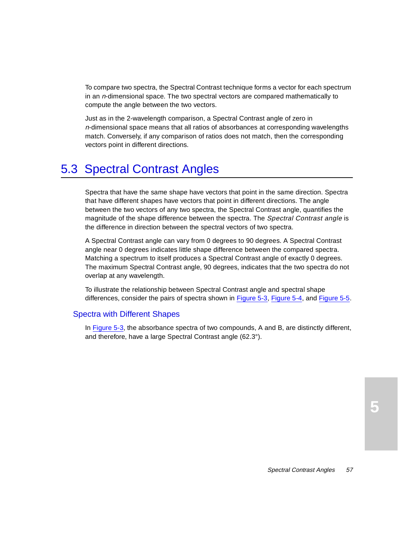<span id="page-56-0"></span>To compare two spectra, the Spectral Contrast technique forms a vector for each spectrum in an n-dimensional space. The two spectral vectors are compared mathematically to compute the angle between the two vectors.

Just as in the 2-wavelength comparison, a Spectral Contrast angle of zero in <sup>n</sup>-dimensional space means that all ratios of absorbances at corresponding wavelengths match. Conversely, if any comparison of ratios does not match, then the corresponding vectors point in different directions.

# 5.3 Spectral Contrast Angles

Spectra that have the same shape have vectors that point in the same direction. Spectra that have different shapes have vectors that point in different directions. The angle between the two vectors of any two spectra, the Spectral Contrast angle, quantifies the magnitude of the shape difference between the spectra. The Spectral Contrast angle is the difference in direction between the spectral vectors of two spectra.

A Spectral Contrast angle can vary from 0 degrees to 90 degrees. A Spectral Contrast angle near 0 degrees indicates little shape difference between the compared spectra. Matching a spectrum to itself produces a Spectral Contrast angle of exactly 0 degrees. The maximum Spectral Contrast angle, 90 degrees, indicates that the two spectra do not overlap at any wavelength.

To illustrate the relationship between Spectral Contrast angle and spectral shape differences, consider the pairs of spectra shown i[n Figure 5-3](#page-57-0)[, Figure 5-4](#page-58-0), an[d Figure 5-](#page-59-0)5.

#### Spectra with Different Shapes

In [Figure 5-3](#page-57-0), the absorbance spectra of two compounds, A and B, are distinctly different, and therefore, have a large Spectral Contrast angle (62.3°).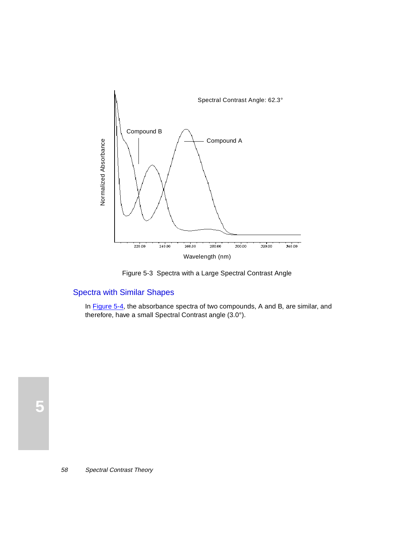<span id="page-57-0"></span>

Figure 5-3 Spectra with a Large Spectral Contrast Angle

## Spectra with Similar Shapes

In [Figure 5-4](#page-58-0), the absorbance spectra of two compounds, A and B, are similar, and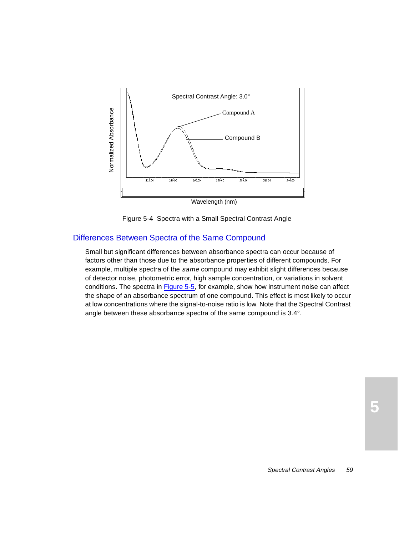<span id="page-58-0"></span>

Figure 5-4 Spectra with a Small Spectral Contrast Angle

#### Differences Between Spectra of the Same Compound

Small but significant differences between absorbance spectra can occur because of factors other than those due to the absorbance properties of different compounds. For example, multiple spectra of the *same* compound may exhibit slight differences because of detector noise, photometric error, high sample concentration, or variations in solvent conditions. The spectra in [Figure 5-5](#page-59-0), for example, show how instrument noise can affect the shape of an absorbance spectrum of one compound. This effect is most likely to occur at low concentrations where the signal-to-noise ratio is low. Note that the Spectral Contrast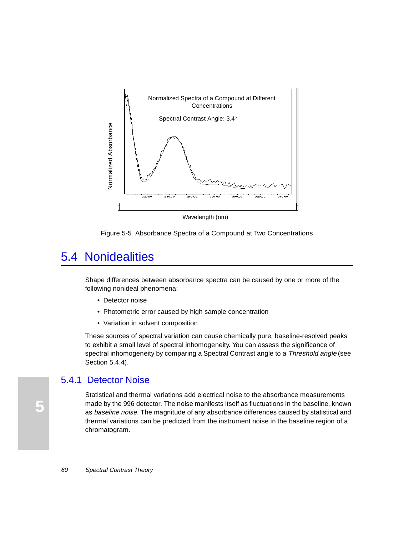<span id="page-59-0"></span>

Wavelength (nm)

Figure 5-5 Absorbance Spectra of a Compound at Two Concentrations

# 5.4 Nonidealities

Shape differences between absorbance spectra can be caused by one or more of the following nonideal phenomena:

- Detector noise
- Photometric error caused by high sample concentration
- Variation in solvent composition

These sources of spectral variation can cause chemically pure, baseline-resolved peaks to exhibit a small level of spectral inhomogeneity. You can assess the significance of spectral inhomogeneity by comparing a Spectral Contrast angle to a Threshold angle (see [Section 5.4.4](#page-60-0)).

## 5.4.1 Detector Noise

Statistical and thermal variations add electrical noise to the absorbance measurements made by the 996 detector. The noise manifests itself as fluctuations in the baseline, known as baseline noise. The magnitude of any absorbance differences caused by statistical and thermal variations can be predicted from the instrument noise in the baseline region of a chromatogram.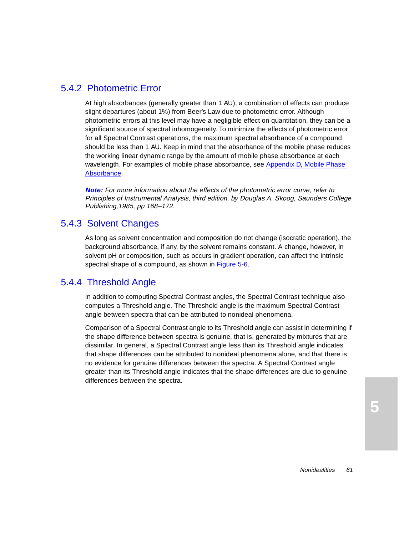# <span id="page-60-0"></span>5.4.2 Photometric Error

At high absorbances (generally greater than 1 AU), a combination of effects can produce slight departures (about 1%) from Beer's Law due to photometric error. Although photometric errors at this level may have a negligible effect on quantitation, they can be a significant source of spectral inhomogeneity. To minimize the effects of photometric error for all Spectral Contrast operations, the maximum spectral absorbance of a compound should be less than 1 AU. Keep in mind that the absorbance of the mobile phase reduces the working linear dynamic range by the amount of mobile phase absorbance at each wavelength. For examples of mobile phase absorbance, see [Appendix D, Mobile Phase](#page-69-0)  [Absorbance](#page-69-0).

**Note:** For more information about the effects of the photometric error curve, refer to Principles of Instrumental Analysis, third edition, by Douglas A. Skoog, Saunders College Publishing,1985, pp 168–172.

# 5.4.3 Solvent Changes

As long as solvent concentration and composition do not change (isocratic operation), the background absorbance, if any, by the solvent remains constant. A change, however, in solvent pH or composition, such as occurs in gradient operation, can affect the intrinsic spectral shape of a compound, as shown in [Figure 5-6](#page-61-0).

# 5.4.4 Threshold Angle

In addition to computing Spectral Contrast angles, the Spectral Contrast technique also computes a Threshold angle. The Threshold angle is the maximum Spectral Contrast angle between spectra that can be attributed to nonideal phenomena.

Comparison of a Spectral Contrast angle to its Threshold angle can assist in determining if the shape difference between spectra is genuine, that is, generated by mixtures that are dissimilar. In general, a Spectral Contrast angle less than its Threshold angle indicates that shape differences can be attributed to nonideal phenomena alone, and that there is no evidence for genuine differences between the spectra. A Spectral Contrast angle greater than its Threshold angle indicates that the shape differences are due to genuine differences between the spectra.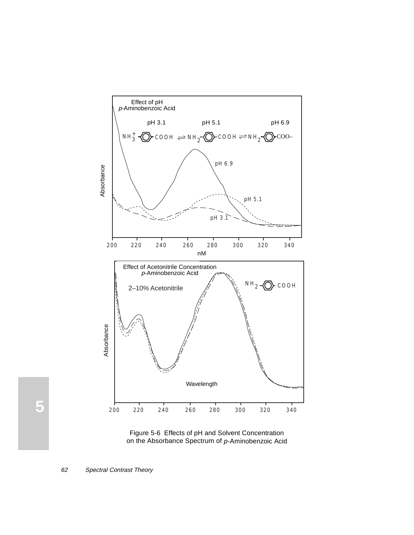<span id="page-61-0"></span>

Figure 5-6 Effects of pH and Solvent Concentration on the Absorbance Spectrum of p-Aminobenzoic Acid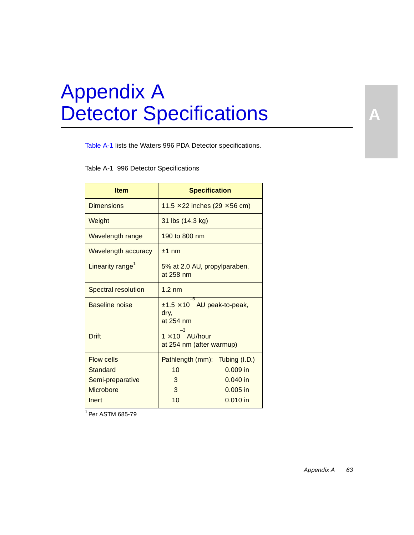# Appendix A Detector Specifications

Table A-1 lists the Waters 996 PDA Detector specifications.

Table A-1 996 Detector Specifications

| <b>Item</b>                   | <b>Specification</b>                                         |  |  |  |  |
|-------------------------------|--------------------------------------------------------------|--|--|--|--|
| <b>Dimensions</b>             | 11.5 $\times$ 22 inches (29 $\times$ 56 cm)                  |  |  |  |  |
| Weight                        | 31 lbs (14.3 kg)                                             |  |  |  |  |
| Wavelength range              | 190 to 800 nm                                                |  |  |  |  |
| <b>Wavelength accuracy</b>    | $±1$ nm                                                      |  |  |  |  |
| Linearity range <sup>1</sup>  | 5% at 2.0 AU, propylparaben,<br>at 258 nm                    |  |  |  |  |
| <b>Spectral resolution</b>    | $1.2 \text{ nm}$                                             |  |  |  |  |
| Baseline noise                | -5<br>$±1.5 \times 10$ AU peak-to-peak,<br>dry,<br>at 254 nm |  |  |  |  |
| <b>Drift</b>                  | $1 \times 10$ AU/hour<br>at 254 nm (after warmup)            |  |  |  |  |
| <b>Flow cells</b><br>Standard | Pathlength (mm): Tubing (I.D.)<br>10<br>$0.009$ in           |  |  |  |  |
| Semi-preparative              | $0.040$ in<br>3                                              |  |  |  |  |
| Microbore                     | $0.005$ in<br>3                                              |  |  |  |  |
| Inert                         | 10<br>$0.010$ in                                             |  |  |  |  |

1 Per ASTM 685-79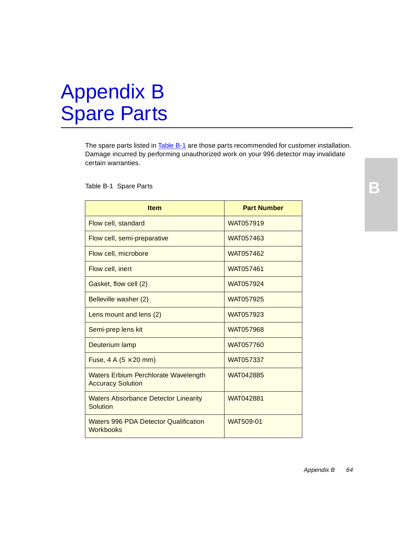# Appendix B Spare Parts

The spare parts listed in Table B-1 are those parts recommended for customer installation. Damage incurred by performing unauthorized work on your 996 detector may invalidate certain warranties.

#### Table B-1 Spare Parts

| <b>Item</b>                                                             | <b>Part Number</b> |
|-------------------------------------------------------------------------|--------------------|
| Flow cell, standard                                                     | WAT057919          |
| Flow cell, semi-preparative                                             | WAT057463          |
| Flow cell, microbore                                                    | WAT057462          |
| Flow cell, inert                                                        | WAT057461          |
| Gasket, flow cell (2)                                                   | WAT057924          |
| Belleville washer (2)                                                   | <b>WAT057925</b>   |
| Lens mount and lens (2)                                                 | WAT057923          |
| Semi-prep lens kit                                                      | WAT057968          |
| Deuterium lamp                                                          | WAT057760          |
| Fuse, $4 \text{ A } (5 \times 20 \text{ mm})$                           | WAT057337          |
| <b>Waters Erbium Perchlorate Wavelength</b><br><b>Accuracy Solution</b> | WAT042885          |
| <b>Waters Absorbance Detector Linearity</b><br>Solution                 | <b>WAT042881</b>   |
| <b>Waters 996 PDA Detector Qualification</b><br><b>Workbooks</b>        | <b>WAT509-01</b>   |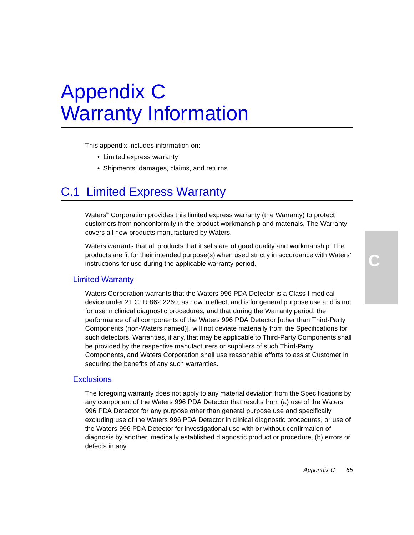# Appendix C Warranty Information

This appendix includes information on:

- Limited express warranty
- Shipments, damages, claims, and returns

# C.1 Limited Express Warranty

Waters® Corporation provides this limited express warranty (the Warranty) to protect customers from nonconformity in the product workmanship and materials. The Warranty covers all new products manufactured by Waters.

Waters warrants that all products that it sells are of good quality and workmanship. The products are fit for their intended purpose(s) when used strictly in accordance with Waters' instructions for use during the applicable warranty period.

#### Limited Warranty

Waters Corporation warrants that the Waters 996 PDA Detector is a Class I medical device under 21 CFR 862.2260, as now in effect, and is for general purpose use and is not for use in clinical diagnostic procedures, and that during the Warranty period, the performance of all components of the Waters 996 PDA Detector [other than Third-Party Components (non-Waters named)], will not deviate materially from the Specifications for such detectors. Warranties, if any, that may be applicable to Third-Party Components shall be provided by the respective manufacturers or suppliers of such Third-Party Components, and Waters Corporation shall use reasonable efforts to assist Customer in securing the benefits of any such warranties.

#### **Exclusions**

The foregoing warranty does not apply to any material deviation from the Specifications by any component of the Waters 996 PDA Detector that results from (a) use of the Waters 996 PDA Detector for any purpose other than general purpose use and specifically excluding use of the Waters 996 PDA Detector in clinical diagnostic procedures, or use of the Waters 996 PDA Detector for investigational use with or without confirmation of diagnosis by another, medically established diagnostic product or procedure, (b) errors or defects in any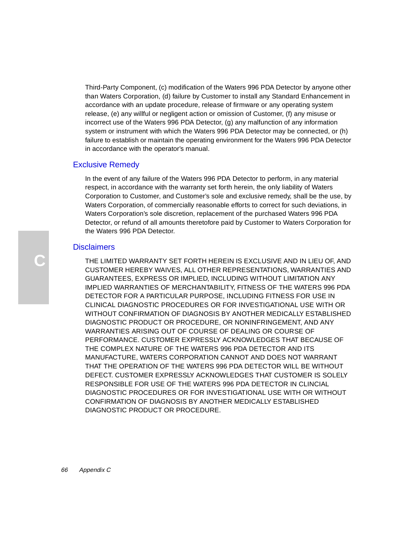Third-Party Component, (c) modification of the Waters 996 PDA Detector by anyone other than Waters Corporation, (d) failure by Customer to install any Standard Enhancement in accordance with an update procedure, release of firmware or any operating system release, (e) any willful or negligent action or omission of Customer, (f) any misuse or incorrect use of the Waters 996 PDA Detector, (g) any malfunction of any information system or instrument with which the Waters 996 PDA Detector may be connected, or (h) failure to establish or maintain the operating environment for the Waters 996 PDA Detector in accordance with the operator's manual.

## Exclusive Remedy

In the event of any failure of the Waters 996 PDA Detector to perform, in any material respect, in accordance with the warranty set forth herein, the only liability of Waters Corporation to Customer, and Customer's sole and exclusive remedy, shall be the use, by Waters Corporation, of commercially reasonable efforts to correct for such deviations, in Waters Corporation's sole discretion, replacement of the purchased Waters 996 PDA Detector, or refund of all amounts theretofore paid by Customer to Waters Corporation for the Waters 996 PDA Detector.

#### **Disclaimers**

THE LIMITED WARRANTY SET FORTH HEREIN IS EXCLUSIVE AND IN LIEU OF, AND CUSTOMER HEREBY WAIVES, ALL OTHER REPRESENTATIONS, WARRANTIES AND GUARANTEES, EXPRESS OR IMPLIED, INCLUDING WITHOUT LIMITATION ANY IMPLIED WARRANTIES OF MERCHANTABILITY, FITNESS OF THE WATERS 996 PDA DETECTOR FOR A PARTICULAR PURPOSE, INCLUDING FITNESS FOR USE IN CLINICAL DIAGNOSTIC PROCEDURES OR FOR INVESTIGATIONAL USE WITH OR WITHOUT CONFIRMATION OF DIAGNOSIS BY ANOTHER MEDICALLY ESTABLISHED DIAGNOSTIC PRODUCT OR PROCEDURE, OR NONINFRINGEMENT, AND ANY WARRANTIES ARISING OUT OF COURSE OF DEALING OR COURSE OF PERFORMANCE. CUSTOMER EXPRESSLY ACKNOWLEDGES THAT BECAUSE OF THE COMPLEX NATURE OF THE WATERS 996 PDA DETECTOR AND ITS MANUFACTURE, WATERS CORPORATION CANNOT AND DOES NOT WARRANT THAT THE OPERATION OF THE WATERS 996 PDA DETECTOR WILL BE WITHOUT DEFECT. CUSTOMER EXPRESSLY ACKNOWLEDGES THAT CUSTOMER IS SOLELY RESPONSIBLE FOR USE OF THE WATERS 996 PDA DETECTOR IN CLINCIAL DIAGNOSTIC PROCEDURES OR FOR INVESTIGATIONAL USE WITH OR WITHOUT CONFIRMATION OF DIAGNOSIS BY ANOTHER MEDICALLY ESTABLISHED DIAGNOSTIC PRODUCT OR PROCEDURE.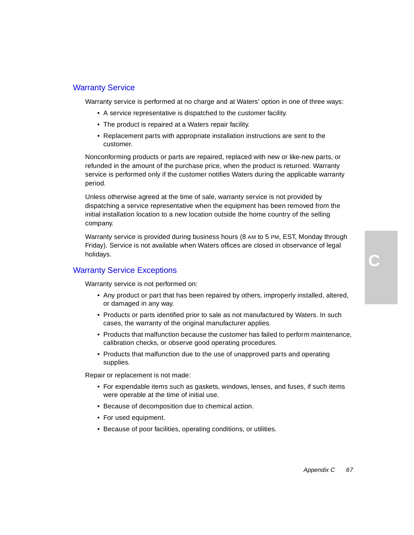#### Warranty Service

Warranty service is performed at no charge and at Waters' option in one of three ways:

- A service representative is dispatched to the customer facility.
- The product is repaired at a Waters repair facility.
- Replacement parts with appropriate installation instructions are sent to the customer.

Nonconforming products or parts are repaired, replaced with new or like-new parts, or refunded in the amount of the purchase price, when the product is returned. Warranty service is performed only if the customer notifies Waters during the applicable warranty period.

Unless otherwise agreed at the time of sale, warranty service is not provided by dispatching a service representative when the equipment has been removed from the initial installation location to a new location outside the home country of the selling company.

Warranty service is provided during business hours (8 AM to 5 PM, EST, Monday through Friday). Service is not available when Waters offices are closed in observance of legal holidays.

#### Warranty Service Exceptions

Warranty service is not performed on:

- Any product or part that has been repaired by others, improperly installed, altered, or damaged in any way.
- Products or parts identified prior to sale as not manufactured by Waters. In such cases, the warranty of the original manufacturer applies.
- Products that malfunction because the customer has failed to perform maintenance, calibration checks, or observe good operating procedures.
- Products that malfunction due to the use of unapproved parts and operating supplies.

Repair or replacement is not made:

- For expendable items such as gaskets, windows, lenses, and fuses, if such items were operable at the time of initial use.
- Because of decomposition due to chemical action.
- For used equipment.
- Because of poor facilities, operating conditions, or utilities.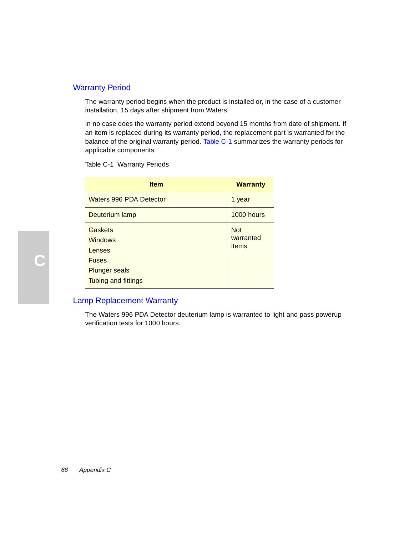## Warranty Period

The warranty period begins when the product is installed or, in the case of a customer installation, 15 days after shipment from Waters.

In no case does the warranty period extend beyond 15 months from date of shipment. If an item is replaced during its warranty period, the replacement part is warranted for the balance of the original warranty period. Table C-1 summarizes the warranty periods for applicable components.

Table C-1 Warranty Periods

| <b>Item</b>                                         | <b>Warranty</b>                  |
|-----------------------------------------------------|----------------------------------|
| <b>Waters 996 PDA Detector</b>                      | 1 year                           |
| Deuterium lamp                                      | 1000 hours                       |
| Gaskets<br><b>Windows</b><br>Lenses<br><b>Fuses</b> | <b>Not</b><br>warranted<br>items |
| <b>Plunger seals</b><br>Tubing and fittings         |                                  |

#### Lamp Replacement Warranty

The Waters 996 PDA Detector deuterium lamp is warranted to light and pass powerup verification tests for 1000 hours.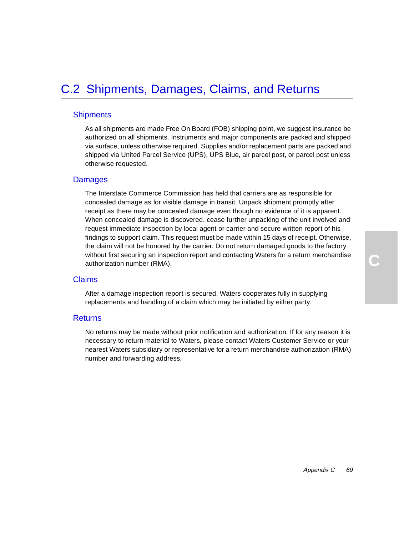### **Shipments**

As all shipments are made Free On Board (FOB) shipping point, we suggest insurance be authorized on all shipments. Instruments and major components are packed and shipped via surface, unless otherwise required. Supplies and/or replacement parts are packed and shipped via United Parcel Service (UPS), UPS Blue, air parcel post, or parcel post unless otherwise requested.

## Damages

The Interstate Commerce Commission has held that carriers are as responsible for concealed damage as for visible damage in transit. Unpack shipment promptly after receipt as there may be concealed damage even though no evidence of it is apparent. When concealed damage is discovered, cease further unpacking of the unit involved and request immediate inspection by local agent or carrier and secure written report of his findings to support claim. This request must be made within 15 days of receipt. Otherwise, the claim will not be honored by the carrier. Do not return damaged goods to the factory without first securing an inspection report and contacting Waters for a return merchandise authorization number (RMA).

#### Claims

After a damage inspection report is secured, Waters cooperates fully in supplying replacements and handling of a claim which may be initiated by either party.

#### **Returns**

No returns may be made without prior notification and authorization. If for any reason it is necessary to return material to Waters, please contact Waters Customer Service or your nearest Waters subsidiary or representative for a return merchandise authorization (RMA) number and forwarding address.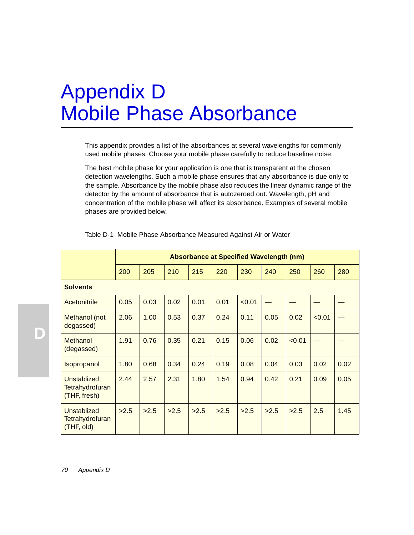# <span id="page-69-0"></span>Appendix D Mobile Phase Absorbance

This appendix provides a list of the absorbances at several wavelengths for commonly used mobile phases. Choose your mobile phase carefully to reduce baseline noise.

The best mobile phase for your application is one that is transparent at the chosen detection wavelengths. Such a mobile phase ensures that any absorbance is due only to the sample. Absorbance by the mobile phase also reduces the linear dynamic range of the detector by the amount of absorbance that is autozeroed out. Wavelength, pH and concentration of the mobile phase will affect its absorbance. Examples of several mobile phases are provided below.

|                                                       | <b>Absorbance at Specified Wavelength (nm)</b> |      |      |      |      |        |      |        |        |      |
|-------------------------------------------------------|------------------------------------------------|------|------|------|------|--------|------|--------|--------|------|
|                                                       | 200                                            | 205  | 210  | 215  | 220  | 230    | 240  | 250    | 260    | 280  |
| <b>Solvents</b>                                       |                                                |      |      |      |      |        |      |        |        |      |
| Acetonitrile                                          | 0.05                                           | 0.03 | 0.02 | 0.01 | 0.01 | < 0.01 |      |        |        |      |
| Methanol (not<br>degassed)                            | 2.06                                           | 1.00 | 0.53 | 0.37 | 0.24 | 0.11   | 0.05 | 0.02   | < 0.01 |      |
| Methanol<br>(degassed)                                | 1.91                                           | 0.76 | 0.35 | 0.21 | 0.15 | 0.06   | 0.02 | < 0.01 |        |      |
| Isopropanol                                           | 1.80                                           | 0.68 | 0.34 | 0.24 | 0.19 | 0.08   | 0.04 | 0.03   | 0.02   | 0.02 |
| Unstablized<br><b>Tetrahydrofuran</b><br>(THF, fresh) | 2.44                                           | 2.57 | 2.31 | 1.80 | 1.54 | 0.94   | 0.42 | 0.21   | 0.09   | 0.05 |
| Unstablized<br><b>Tetrahydrofuran</b><br>(THF, old)   | >2.5                                           | >2.5 | >2.5 | >2.5 | >2.5 | >2.5   | >2.5 | >2.5   | 2.5    | 1.45 |

Table D-1 Mobile Phase Absorbance Measured Against Air or Water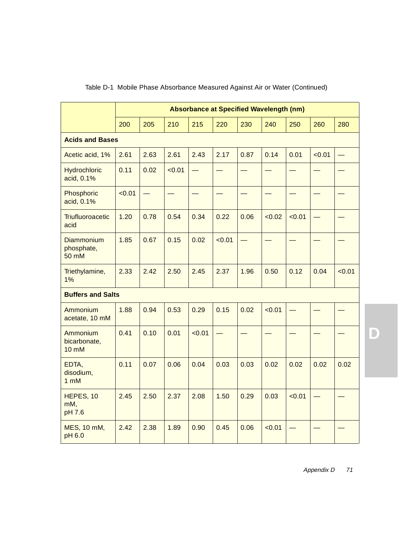|                                          | Absorbance at Specified Wavelength (nm) |      |        |        |        |      |        |        |        |        |
|------------------------------------------|-----------------------------------------|------|--------|--------|--------|------|--------|--------|--------|--------|
|                                          | 200                                     | 205  | 210    | 215    | 220    | 230  | 240    | 250    | 260    | 280    |
| <b>Acids and Bases</b>                   |                                         |      |        |        |        |      |        |        |        |        |
| Acetic acid, 1%                          | 2.61                                    | 2.63 | 2.61   | 2.43   | 2.17   | 0.87 | 0.14   | 0.01   | < 0.01 |        |
| <b>Hydrochloric</b><br>acid, 0.1%        | 0.11                                    | 0.02 | < 0.01 |        |        |      |        |        |        |        |
| Phosphoric<br>acid, 0.1%                 | < 0.01                                  |      |        |        |        |      |        |        |        |        |
| Triufluoroacetic<br>acid                 | 1.20                                    | 0.78 | 0.54   | 0.34   | 0.22   | 0.06 | < 0.02 | < 0.01 |        |        |
| <b>Diammonium</b><br>phosphate,<br>50 mM | 1.85                                    | 0.67 | 0.15   | 0.02   | < 0.01 |      |        |        |        |        |
| Triethylamine,<br>1%                     | 2.33                                    | 2.42 | 2.50   | 2.45   | 2.37   | 1.96 | 0.50   | 0.12   | 0.04   | < 0.01 |
| <b>Buffers and Salts</b>                 |                                         |      |        |        |        |      |        |        |        |        |
| Ammonium<br>acetate, 10 mM               | 1.88                                    | 0.94 | 0.53   | 0.29   | 0.15   | 0.02 | < 0.01 |        |        |        |
| Ammonium<br>bicarbonate,<br><b>10 mM</b> | 0.41                                    | 0.10 | 0.01   | < 0.01 |        |      |        |        |        |        |
| EDTA,<br>disodium,<br>$1 \, \text{m}$ M  | 0.11                                    | 0.07 | 0.06   | 0.04   | 0.03   | 0.03 | 0.02   | 0.02   | 0.02   | 0.02   |
| HEPES, 10<br>mM,<br>pH 7.6               | 2.45                                    | 2.50 | 2.37   | 2.08   | 1.50   | 0.29 | 0.03   | < 0.01 |        |        |
| MES, 10 mM,<br>pH 6.0                    | 2.42                                    | 2.38 | 1.89   | 0.90   | 0.45   | 0.06 | < 0.01 |        |        |        |

## Table D-1 Mobile Phase Absorbance Measured Against Air or Water (Continued)

**D**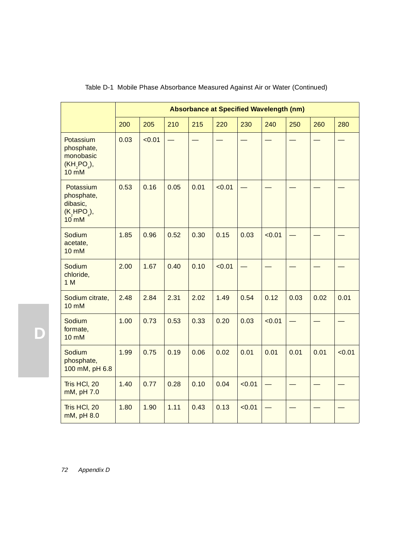|                                                                                     | Absorbance at Specified Wavelength (nm) |        |                          |      |        |                          |        |      |      |        |
|-------------------------------------------------------------------------------------|-----------------------------------------|--------|--------------------------|------|--------|--------------------------|--------|------|------|--------|
|                                                                                     | 200                                     | 205    | 210                      | 215  | 220    | 230                      | 240    | 250  | 260  | 280    |
| Potassium<br>phosphate,<br>monobasic<br>(KH, PO <sub>4</sub> ),<br>$10 \text{ m}$ M | 0.03                                    | < 0.01 | $\overline{\phantom{0}}$ |      |        |                          |        |      |      |        |
| Potassium<br>phosphate,<br>dibasic,<br>$(K, HPO_{\lambda}),$<br>$10$ mM             | 0.53                                    | 0.16   | 0.05                     | 0.01 | < 0.01 | $\overline{\phantom{0}}$ |        |      |      |        |
| Sodium<br>acetate,<br><b>10 mM</b>                                                  | 1.85                                    | 0.96   | 0.52                     | 0.30 | 0.15   | 0.03                     | < 0.01 |      |      |        |
| Sodium<br>chloride,<br>1 M                                                          | 2.00                                    | 1.67   | 0.40                     | 0.10 | < 0.01 |                          |        |      |      |        |
| Sodium citrate,<br><b>10 mM</b>                                                     | 2.48                                    | 2.84   | 2.31                     | 2.02 | 1.49   | 0.54                     | 0.12   | 0.03 | 0.02 | 0.01   |
| Sodium<br>formate,<br><b>10 mM</b>                                                  | 1.00                                    | 0.73   | 0.53                     | 0.33 | 0.20   | 0.03                     | < 0.01 |      |      |        |
| Sodium<br>phosphate,<br>100 mM, pH 6.8                                              | 1.99                                    | 0.75   | 0.19                     | 0.06 | 0.02   | 0.01                     | 0.01   | 0.01 | 0.01 | < 0.01 |
| Tris HCI, 20<br>mM, pH 7.0                                                          | 1.40                                    | 0.77   | 0.28                     | 0.10 | 0.04   | < 0.01                   |        |      |      |        |
| Tris HCI, 20<br>mM, pH 8.0                                                          | 1.80                                    | 1.90   | 1.11                     | 0.43 | 0.13   | < 0.01                   |        |      |      |        |

## Table D-1 Mobile Phase Absorbance Measured Against Air or Water (Continued)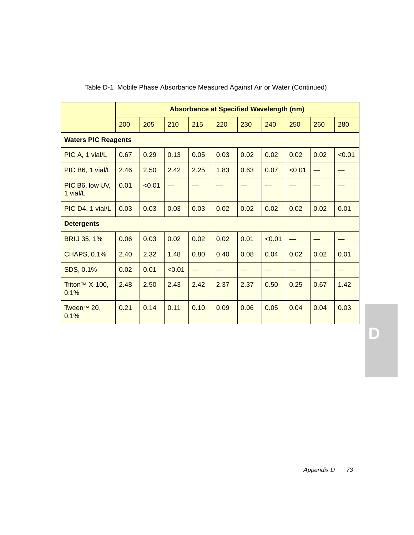|                                       | <b>Absorbance at Specified Wavelength (nm)</b> |        |        |                          |      |      |        |        |      |        |
|---------------------------------------|------------------------------------------------|--------|--------|--------------------------|------|------|--------|--------|------|--------|
|                                       | 200                                            | 205    | 210    | 215                      | 220  | 230  | 240    | 250    | 260  | 280    |
| <b>Waters PIC Reagents</b>            |                                                |        |        |                          |      |      |        |        |      |        |
| PIC A, 1 vial/L                       | 0.67                                           | 0.29   | 0.13   | 0.05                     | 0.03 | 0.02 | 0.02   | 0.02   | 0.02 | < 0.01 |
| PIC B6, 1 vial/L                      | 2.46                                           | 2.50   | 2.42   | 2.25                     | 1.83 | 0.63 | 0.07   | < 0.01 |      |        |
| PIC B6, low UV,<br>1 vial/L           | 0.01                                           | < 0.01 |        |                          |      |      |        |        |      |        |
| PIC D4, 1 vial/L                      | 0.03                                           | 0.03   | 0.03   | 0.03                     | 0.02 | 0.02 | 0.02   | 0.02   | 0.02 | 0.01   |
| <b>Detergents</b>                     |                                                |        |        |                          |      |      |        |        |      |        |
| BRIJ 35, 1%                           | 0.06                                           | 0.03   | 0.02   | 0.02                     | 0.02 | 0.01 | < 0.01 |        |      |        |
| <b>CHAPS, 0.1%</b>                    | 2.40                                           | 2.32   | 1.48   | 0.80                     | 0.40 | 0.08 | 0.04   | 0.02   | 0.02 | 0.01   |
| SDS, 0.1%                             | 0.02                                           | 0.01   | < 0.01 | $\overline{\phantom{0}}$ |      |      |        |        |      |        |
| Triton <sup>™</sup> $X-100$ ,<br>0.1% | 2.48                                           | 2.50   | 2.43   | 2.42                     | 2.37 | 2.37 | 0.50   | 0.25   | 0.67 | 1.42   |
| Tween <sup>™</sup> 20,<br>0.1%        | 0.21                                           | 0.14   | 0.11   | 0.10                     | 0.09 | 0.06 | 0.05   | 0.04   | 0.04 | 0.03   |

#### Table D-1 Mobile Phase Absorbance Measured Against Air or Water (Continued)

**D**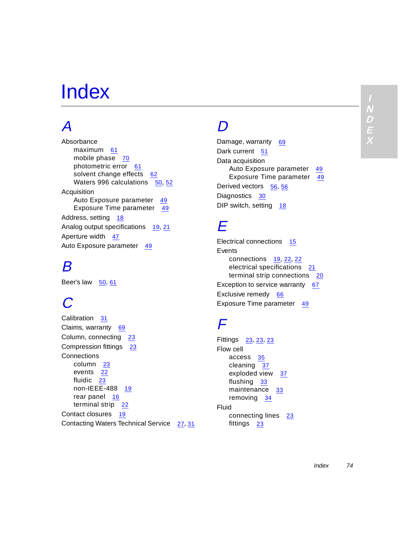#### **I D E X N**

# Index

# A

Absorbance maximum [61](#page-60-0) mobile phase [70](#page-69-0) photometric error [61](#page-60-0) solvent change effects [62](#page-61-0) Waters 996 calculations [50](#page-49-0), [52](#page-51-0) Acquisition Auto Exposure parameter [49](#page-48-0) Exposure Time parameter [49](#page-48-0) Address, setting [18](#page-17-0) Analog output specifications [19](#page-18-0), [21](#page-20-0) Aperture width [47](#page-46-0) Auto Exposure parameter [49](#page-48-0)

#### B

Beer's law  $\frac{50}{61}$  $\frac{50}{61}$  $\frac{50}{61}$  $\frac{50}{61}$  $\frac{50}{61}$ 

# $\boldsymbol{C}$

Calibration [31](#page-30-0) Claims, warranty [69](#page-68-0) Column, connecting [23](#page-22-0) Compression fittings [23](#page-22-0) **Connections** column [23](#page-22-0) events [22](#page-21-0) fluidic [23](#page-22-0) non-IEEE-488 [19](#page-18-0) rear panel [16](#page-15-0) terminal strip [22](#page-21-0) Contact closures [19](#page-18-0) Contacting Waters Technical Service [27](#page-26-0), [31](#page-30-0)

#### $\bm{D}$

Damage, warranty [69](#page-68-0) Dark current [51](#page-50-0) Data acquisition Auto Exposure parameter [49](#page-48-0) Exposure Time parameter [49](#page-48-0) Derived vectors [56](#page-55-0), 56 Diagnostics [30](#page-29-0) DIP switch, setting [18](#page-17-0)

#### E

Electrical connections [15](#page-14-0) **Events** connections [19](#page-18-0), [22](#page-21-0), [22](#page-21-0) electrical specifications [21](#page-20-0) terminal strip connections [20](#page-19-0) Exception to service warranty [67](#page-66-0) Exclusive remedy [66](#page-65-0) Exposure Time parameter [49](#page-48-0)

#### F

Fittings [23](#page-22-0), 23, 23 Flow cell access [35](#page-34-0) cleaning [37](#page-36-0) exploded view [37](#page-36-0) flushing [33](#page-32-0) maintenance [33](#page-32-0) removing [34](#page-33-0) Fluid connecting lines [23](#page-22-0) fittings [23](#page-22-0)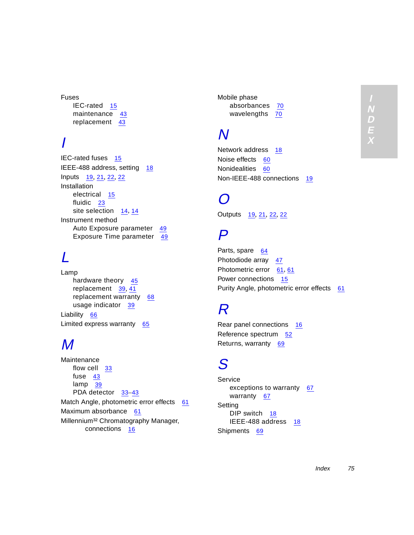Fuses IEC-rated [15](#page-14-0) maintenance [43](#page-42-0) replacement [43](#page-42-0)

## I

IEC-rated fuses [15](#page-14-0) IEEE-488 address, setting [18](#page-17-0) Inputs [19](#page-18-0), [21](#page-20-0), [22](#page-21-0), 22 **Installation** electrical [15](#page-14-0) fluidic [23](#page-22-0) site selection [14](#page-13-0), 14 Instrument method Auto Exposure parameter [49](#page-48-0) Exposure Time parameter [49](#page-48-0)

## L

Lamp hardware theory [45](#page-44-0) replacement [39](#page-38-0), [41](#page-40-0) replacement warranty [68](#page-67-0) usage indicator [39](#page-38-0) Liability [66](#page-65-0) Limited express warranty [65](#page-64-0)

#### M

Maintenance flow cell [33](#page-32-0) fuse [43](#page-42-0) lamp [39](#page-38-0) PDA detector [33](#page-32-0)-[43](#page-42-0) Match Angle, photometric error effects [61](#page-60-0) Maximum absorbance [61](#page-60-0) Millennium<sup>32</sup> Chromatography Manager, connections [16](#page-15-0)

Mobile phase absorbances [70](#page-69-0) wavelengths [70](#page-69-0)

### N

Network address [18](#page-17-0) Noise effects [60](#page-59-0) Nonidealities [60](#page-59-0) Non-IEEE-488 connections [19](#page-18-0)

#### $\boldsymbol{O}$

Outputs [19](#page-18-0), [21](#page-20-0), [22](#page-21-0), 22

#### P

Parts, spare [64](#page-63-0) Photodiode array [47](#page-46-0) Photometric error [61](#page-60-0), 61 Power connections [15](#page-14-0) Purity Angle, photometric error effects [61](#page-60-0)

### R

Rear panel connections [16](#page-15-0) Reference spectrum [52](#page-51-0) Returns, warranty [69](#page-68-0)

### S

Service exceptions to warranty [67](#page-66-0) warranty [67](#page-66-0) Setting DIP switch [18](#page-17-0) IEEE-48[8 address](#page-22-0) [18](#page-17-0) Shipments [69](#page-68-0)